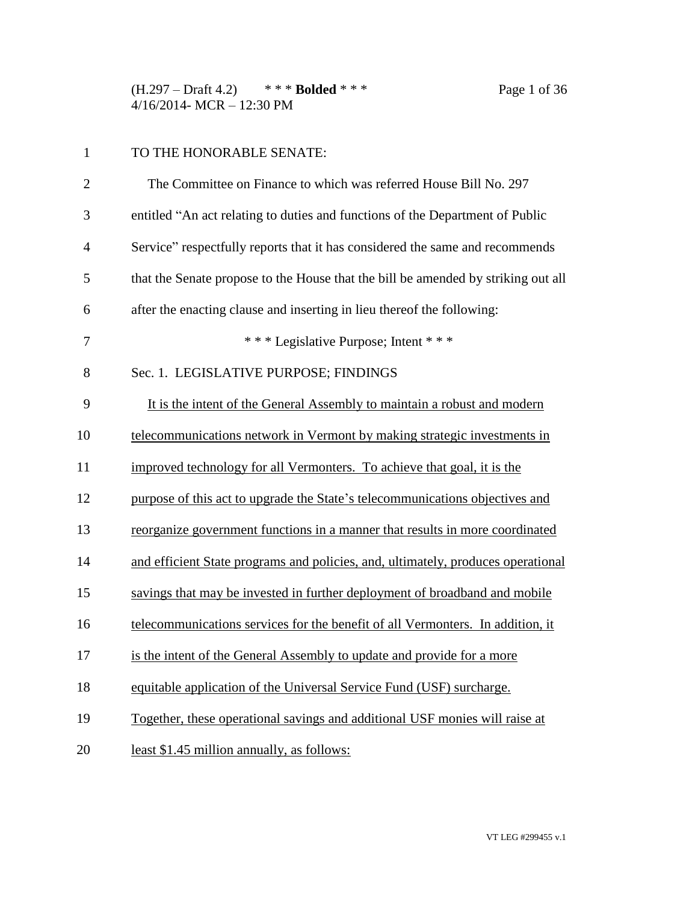(H.297 – Draft 4.2) \* \* \* **Bolded** \* \* \* Page 1 of 36 4/16/2014- MCR – 12:30 PM

## TO THE HONORABLE SENATE:

| $\mathbf{2}$   | The Committee on Finance to which was referred House Bill No. 297                 |
|----------------|-----------------------------------------------------------------------------------|
| 3              | entitled "An act relating to duties and functions of the Department of Public     |
| $\overline{4}$ | Service" respectfully reports that it has considered the same and recommends      |
| 5              | that the Senate propose to the House that the bill be amended by striking out all |
| 6              | after the enacting clause and inserting in lieu thereof the following:            |
| 7              | *** Legislative Purpose; Intent ***                                               |
| 8              | Sec. 1. LEGISLATIVE PURPOSE; FINDINGS                                             |
| 9              | It is the intent of the General Assembly to maintain a robust and modern          |
| 10             | telecommunications network in Vermont by making strategic investments in          |
| 11             | improved technology for all Vermonters. To achieve that goal, it is the           |
| 12             | purpose of this act to upgrade the State's telecommunications objectives and      |
| 13             | reorganize government functions in a manner that results in more coordinated      |
| 14             | and efficient State programs and policies, and, ultimately, produces operational  |
| 15             | savings that may be invested in further deployment of broadband and mobile        |
| 16             | telecommunications services for the benefit of all Vermonters. In addition, it    |
| 17             | is the intent of the General Assembly to update and provide for a more            |
| 18             | equitable application of the Universal Service Fund (USF) surcharge.              |
| 19             | Together, these operational savings and additional USF monies will raise at       |
| 20             | least \$1.45 million annually, as follows:                                        |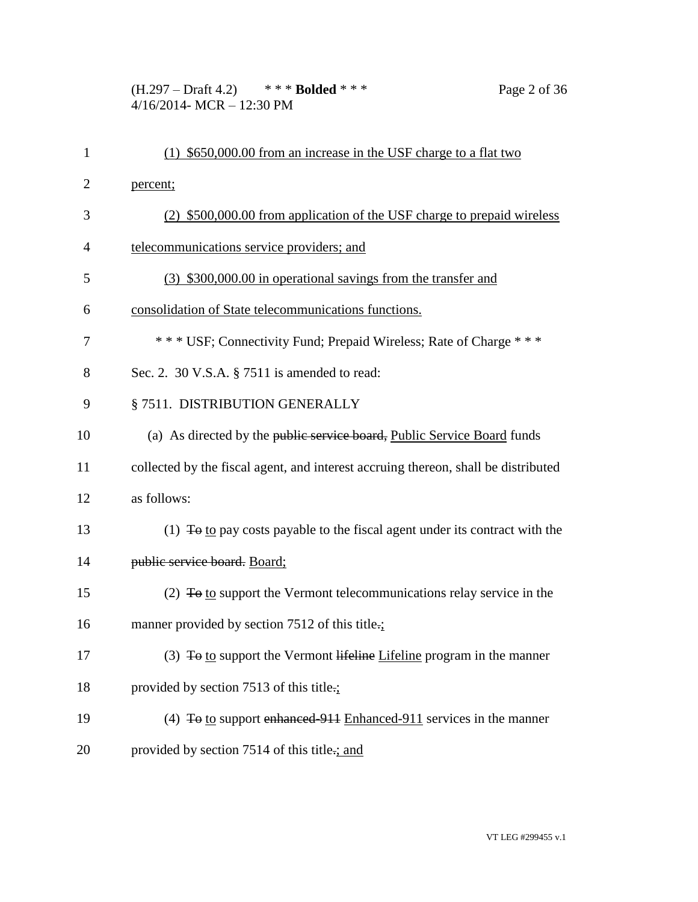(H.297 – Draft 4.2) \* \* \* **Bolded** \* \* \* Page 2 of 36 4/16/2014- MCR – 12:30 PM

| $\mathbf{1}$ | $(1)$ \$650,000.00 from an increase in the USF charge to a flat two                     |
|--------------|-----------------------------------------------------------------------------------------|
| 2            | percent;                                                                                |
| 3            | (2) \$500,000.00 from application of the USF charge to prepaid wireless                 |
| 4            | telecommunications service providers; and                                               |
| 5            | (3) \$300,000.00 in operational savings from the transfer and                           |
| 6            | consolidation of State telecommunications functions.                                    |
| 7            | *** USF; Connectivity Fund; Prepaid Wireless; Rate of Charge ***                        |
| 8            | Sec. 2. 30 V.S.A. § 7511 is amended to read:                                            |
| 9            | § 7511. DISTRIBUTION GENERALLY                                                          |
| 10           | (a) As directed by the public service board, Public Service Board funds                 |
| 11           | collected by the fiscal agent, and interest accruing thereon, shall be distributed      |
| 12           | as follows:                                                                             |
| 13           | (1) $\overline{4}$ to pay costs payable to the fiscal agent under its contract with the |
| 14           | public service board. Board;                                                            |
| 15           | (2) $\overline{10}$ to support the Vermont telecommunications relay service in the      |
| 16           | manner provided by section 7512 of this title.;                                         |
| 17           | (3) $\overline{4}$ to support the Vermont lifeline Lifeline program in the manner       |
| 18           | provided by section 7513 of this title.;                                                |
| 19           | (4) $\overline{4}$ to support enhanced 911 Enhanced 911 services in the manner          |
| 20           | provided by section 7514 of this title.; and                                            |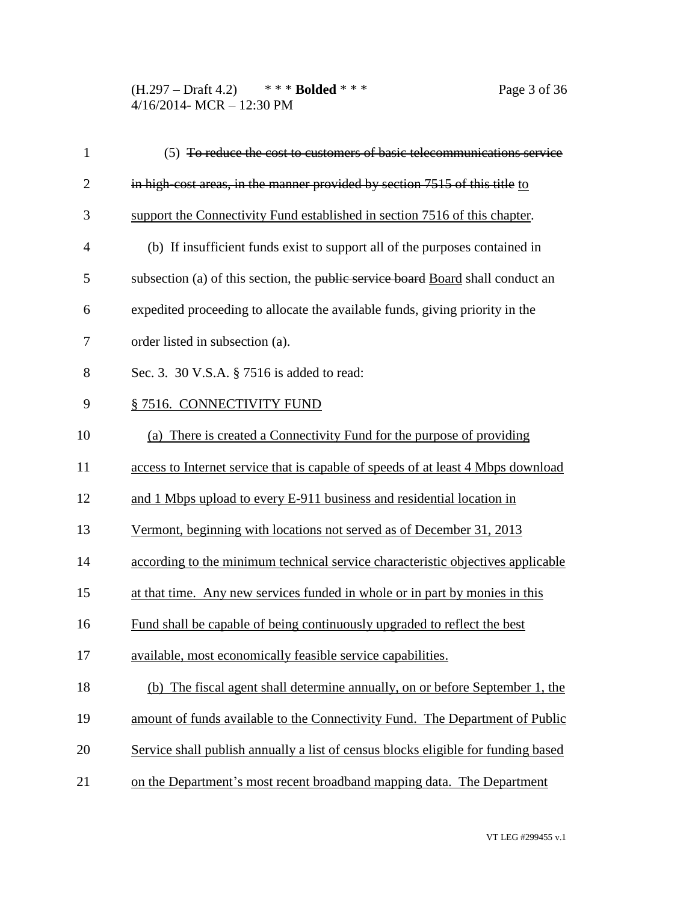(H.297 – Draft 4.2) \* \* \* **Bolded** \* \* \* Page 3 of 36 4/16/2014- MCR – 12:30 PM

| $\mathbf{1}$   | (5) To reduce the cost to customers of basic telecommunications service           |
|----------------|-----------------------------------------------------------------------------------|
| $\overline{2}$ | in high-cost areas, in the manner provided by section 7515 of this title to       |
| 3              | support the Connectivity Fund established in section 7516 of this chapter.        |
| $\overline{4}$ | (b) If insufficient funds exist to support all of the purposes contained in       |
| 5              | subsection (a) of this section, the public service board Board shall conduct an   |
| 6              | expedited proceeding to allocate the available funds, giving priority in the      |
| 7              | order listed in subsection (a).                                                   |
| 8              | Sec. 3. 30 V.S.A. § 7516 is added to read:                                        |
| 9              | § 7516. CONNECTIVITY FUND                                                         |
| 10             | (a) There is created a Connectivity Fund for the purpose of providing             |
| 11             | access to Internet service that is capable of speeds of at least 4 Mbps download  |
| 12             | and 1 Mbps upload to every E-911 business and residential location in             |
| 13             | Vermont, beginning with locations not served as of December 31, 2013              |
| 14             | according to the minimum technical service characteristic objectives applicable   |
| 15             | at that time. Any new services funded in whole or in part by monies in this       |
| 16             | Fund shall be capable of being continuously upgraded to reflect the best          |
| 17             | available, most economically feasible service capabilities.                       |
| 18             | (b) The fiscal agent shall determine annually, on or before September 1, the      |
| 19             | amount of funds available to the Connectivity Fund. The Department of Public      |
| 20             | Service shall publish annually a list of census blocks eligible for funding based |
| 21             | on the Department's most recent broadband mapping data. The Department            |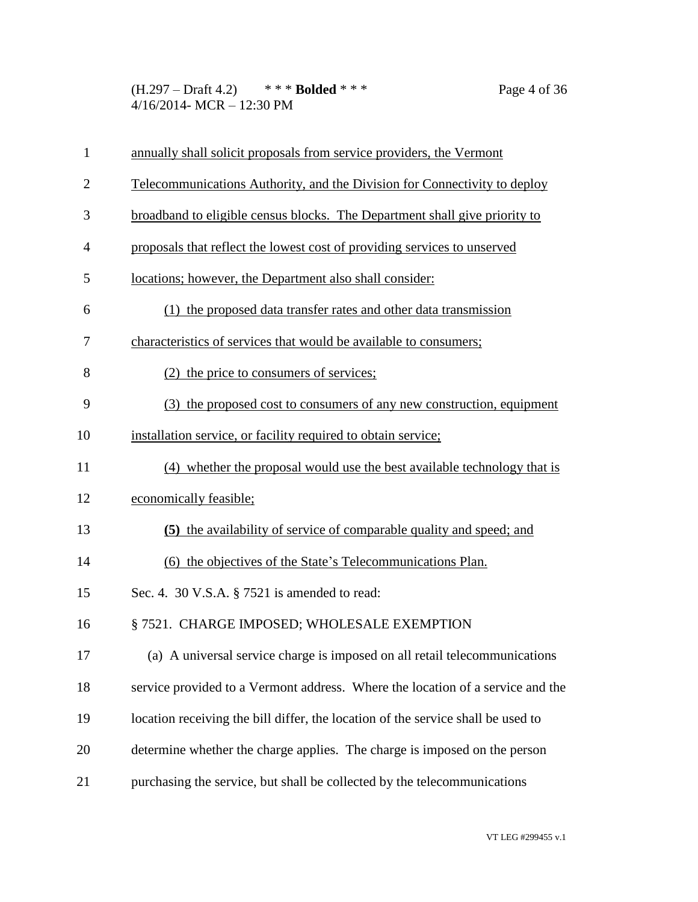(H.297 – Draft 4.2) \* \* \* **Bolded** \* \* \* Page 4 of 36 4/16/2014- MCR – 12:30 PM

| $\mathbf{1}$   | annually shall solicit proposals from service providers, the Vermont             |
|----------------|----------------------------------------------------------------------------------|
| $\overline{2}$ | Telecommunications Authority, and the Division for Connectivity to deploy        |
| 3              | broadband to eligible census blocks. The Department shall give priority to       |
| $\overline{4}$ | proposals that reflect the lowest cost of providing services to unserved         |
| 5              | locations; however, the Department also shall consider:                          |
| 6              | (1) the proposed data transfer rates and other data transmission                 |
| 7              | characteristics of services that would be available to consumers;                |
| 8              | (2) the price to consumers of services;                                          |
| 9              | (3) the proposed cost to consumers of any new construction, equipment            |
| 10             | installation service, or facility required to obtain service;                    |
| 11             | (4) whether the proposal would use the best available technology that is         |
| 12             | economically feasible;                                                           |
| 13             | (5) the availability of service of comparable quality and speed; and             |
| 14             | (6) the objectives of the State's Telecommunications Plan.                       |
| 15             | Sec. 4. 30 V.S.A. § 7521 is amended to read:                                     |
| 16             | § 7521. CHARGE IMPOSED; WHOLESALE EXEMPTION                                      |
| 17             | (a) A universal service charge is imposed on all retail telecommunications       |
| 18             | service provided to a Vermont address. Where the location of a service and the   |
| 19             | location receiving the bill differ, the location of the service shall be used to |
| 20             | determine whether the charge applies. The charge is imposed on the person        |
| 21             | purchasing the service, but shall be collected by the telecommunications         |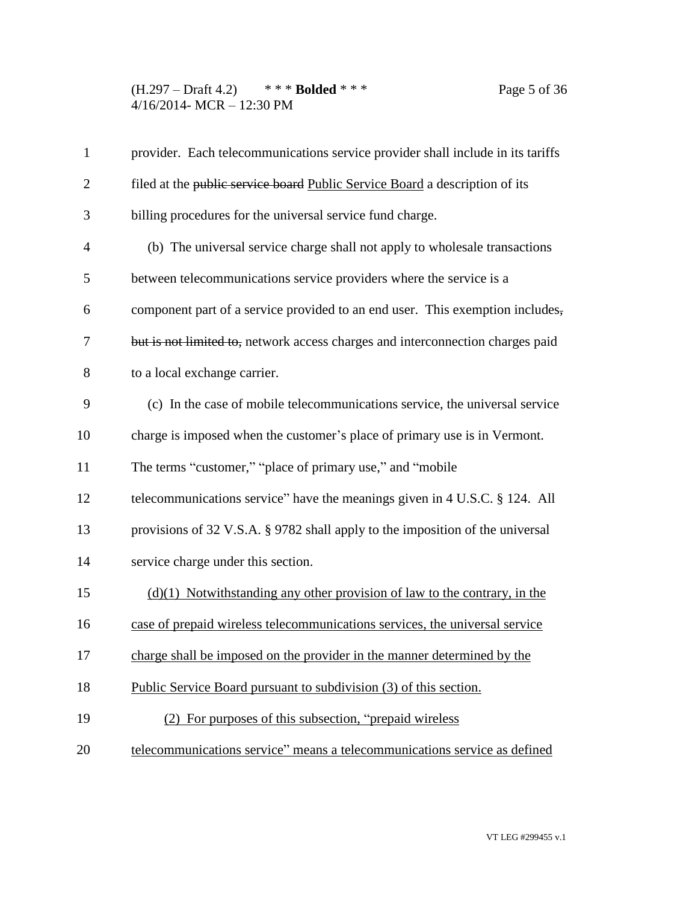(H.297 – Draft 4.2) \* \* \* **Bolded** \* \* \* Page 5 of 36 4/16/2014- MCR – 12:30 PM

| $\mathbf{1}$   | provider. Each telecommunications service provider shall include in its tariffs |
|----------------|---------------------------------------------------------------------------------|
| $\overline{2}$ | filed at the public service board Public Service Board a description of its     |
| 3              | billing procedures for the universal service fund charge.                       |
| $\overline{4}$ | (b) The universal service charge shall not apply to wholesale transactions      |
| 5              | between telecommunications service providers where the service is a             |
| 6              | component part of a service provided to an end user. This exemption includes,   |
| 7              | but is not limited to, network access charges and interconnection charges paid  |
| 8              | to a local exchange carrier.                                                    |
| 9              | (c) In the case of mobile telecommunications service, the universal service     |
| 10             | charge is imposed when the customer's place of primary use is in Vermont.       |
| 11             | The terms "customer," "place of primary use," and "mobile"                      |
| 12             | telecommunications service" have the meanings given in 4 U.S.C. § 124. All      |
| 13             | provisions of 32 V.S.A. § 9782 shall apply to the imposition of the universal   |
| 14             | service charge under this section.                                              |
| 15             | $(d)(1)$ Notwithstanding any other provision of law to the contrary, in the     |
| 16             | case of prepaid wireless telecommunications services, the universal service     |
| 17             | charge shall be imposed on the provider in the manner determined by the         |
| 18             | Public Service Board pursuant to subdivision (3) of this section.               |
| 19             | (2) For purposes of this subsection, "prepaid wireless                          |
| 20             | telecommunications service" means a telecommunications service as defined       |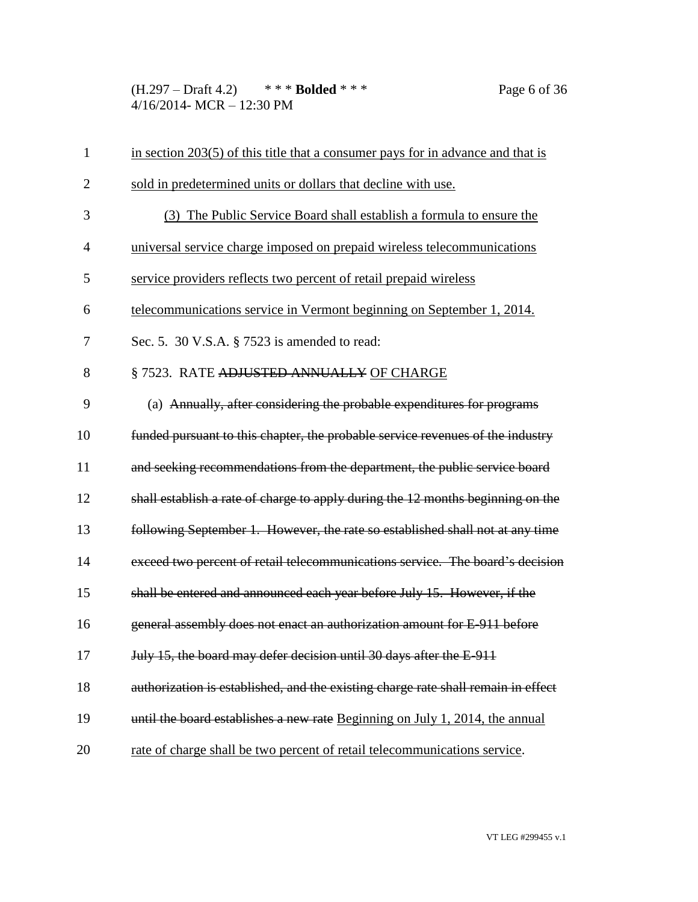(H.297 – Draft 4.2) \* \* \* **Bolded** \* \* \* Page 6 of 36 4/16/2014- MCR – 12:30 PM

| $\mathbf{1}$   | in section 203(5) of this title that a consumer pays for in advance and that is   |
|----------------|-----------------------------------------------------------------------------------|
| $\overline{2}$ | sold in predetermined units or dollars that decline with use.                     |
| 3              | (3) The Public Service Board shall establish a formula to ensure the              |
| $\overline{4}$ | universal service charge imposed on prepaid wireless telecommunications           |
| 5              | service providers reflects two percent of retail prepaid wireless                 |
| 6              | telecommunications service in Vermont beginning on September 1, 2014.             |
| 7              | Sec. 5. 30 V.S.A. § 7523 is amended to read:                                      |
| 8              | §7523. RATE ADJUSTED ANNUALLY OF CHARGE                                           |
| 9              | (a) Annually, after considering the probable expenditures for programs            |
| 10             | funded pursuant to this chapter, the probable service revenues of the industry    |
| 11             | and seeking recommendations from the department, the public service board         |
| 12             | shall establish a rate of charge to apply during the 12 months beginning on the   |
| 13             | following September 1. However, the rate so established shall not at any time     |
| 14             | exceed two percent of retail telecommunications service. The board's decision     |
| 15             | shall be entered and announced each year before July 15. However, if the          |
| 16             | general assembly does not enact an authorization amount for E-911 before          |
| 17             | July 15, the board may defer decision until 30 days after the E-911               |
| 18             | authorization is established, and the existing charge rate shall remain in effect |
| 19             | until the board establishes a new rate Beginning on July 1, 2014, the annual      |
| 20             | rate of charge shall be two percent of retail telecommunications service.         |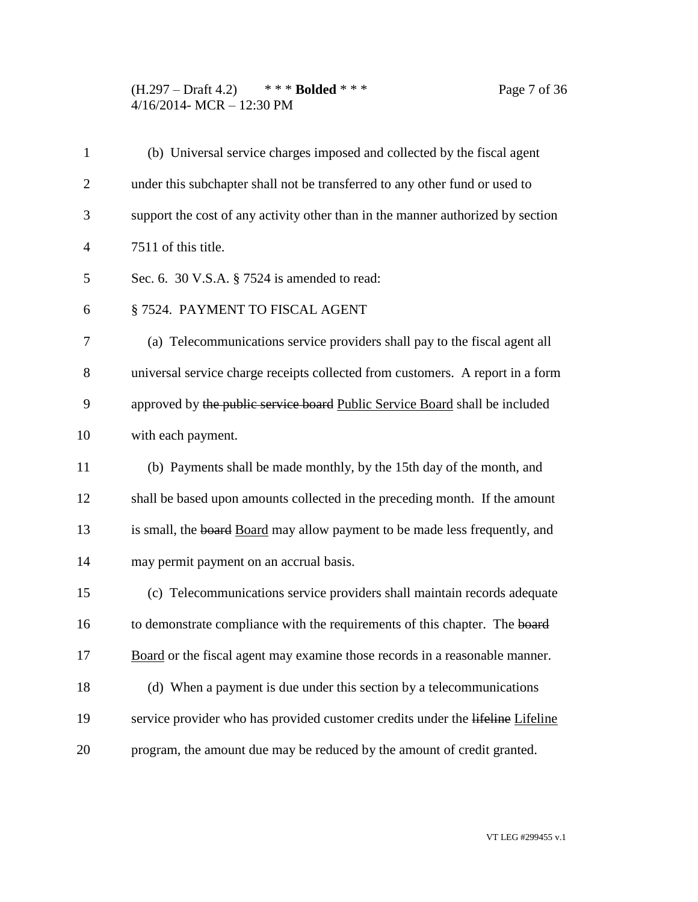(H.297 – Draft 4.2) \* \* \* **Bolded** \* \* \* Page 7 of 36 4/16/2014- MCR – 12:30 PM

| $\mathbf{1}$   | (b) Universal service charges imposed and collected by the fiscal agent         |
|----------------|---------------------------------------------------------------------------------|
| $\overline{2}$ | under this subchapter shall not be transferred to any other fund or used to     |
| 3              | support the cost of any activity other than in the manner authorized by section |
| $\overline{4}$ | 7511 of this title.                                                             |
| 5              | Sec. 6. 30 V.S.A. $\S$ 7524 is amended to read:                                 |
| 6              | § 7524. PAYMENT TO FISCAL AGENT                                                 |
| 7              | (a) Telecommunications service providers shall pay to the fiscal agent all      |
| 8              | universal service charge receipts collected from customers. A report in a form  |
| 9              | approved by the public service board Public Service Board shall be included     |
| 10             | with each payment.                                                              |
| 11             | (b) Payments shall be made monthly, by the 15th day of the month, and           |
| 12             | shall be based upon amounts collected in the preceding month. If the amount     |
| 13             | is small, the board Board may allow payment to be made less frequently, and     |
| 14             | may permit payment on an accrual basis.                                         |
| 15             | (c) Telecommunications service providers shall maintain records adequate        |
| 16             | to demonstrate compliance with the requirements of this chapter. The board      |
| 17             | Board or the fiscal agent may examine those records in a reasonable manner.     |
| 18             | (d) When a payment is due under this section by a telecommunications            |
| 19             | service provider who has provided customer credits under the lifeline Lifeline  |
| 20             | program, the amount due may be reduced by the amount of credit granted.         |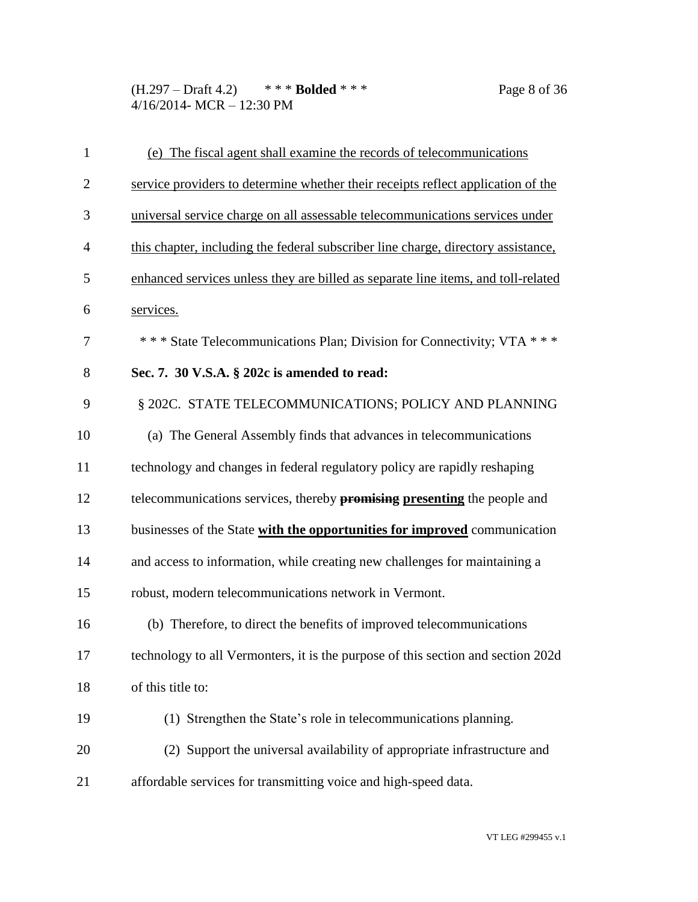(H.297 – Draft 4.2) \* \* \* **Bolded** \* \* \* Page 8 of 36 4/16/2014- MCR – 12:30 PM

| $\mathbf{1}$   | (e) The fiscal agent shall examine the records of telecommunications              |
|----------------|-----------------------------------------------------------------------------------|
| $\overline{2}$ | service providers to determine whether their receipts reflect application of the  |
| 3              | universal service charge on all assessable telecommunications services under      |
| $\overline{4}$ | this chapter, including the federal subscriber line charge, directory assistance, |
| 5              | enhanced services unless they are billed as separate line items, and toll-related |
| 6              | services.                                                                         |
| 7              | *** State Telecommunications Plan; Division for Connectivity; VTA ***             |
| 8              | Sec. 7. 30 V.S.A. § 202c is amended to read:                                      |
| 9              | § 202C. STATE TELECOMMUNICATIONS; POLICY AND PLANNING                             |
| 10             | (a) The General Assembly finds that advances in telecommunications                |
| 11             | technology and changes in federal regulatory policy are rapidly reshaping         |
| 12             | telecommunications services, thereby <b>promising presenting</b> the people and   |
| 13             | businesses of the State with the opportunities for improved communication         |
| 14             | and access to information, while creating new challenges for maintaining a        |
| 15             | robust, modern telecommunications network in Vermont.                             |
| 16             | (b) Therefore, to direct the benefits of improved telecommunications              |
| 17             | technology to all Vermonters, it is the purpose of this section and section 202d  |
| 18             | of this title to:                                                                 |
| 19             | (1) Strengthen the State's role in telecommunications planning.                   |
| 20             | (2) Support the universal availability of appropriate infrastructure and          |
| 21             | affordable services for transmitting voice and high-speed data.                   |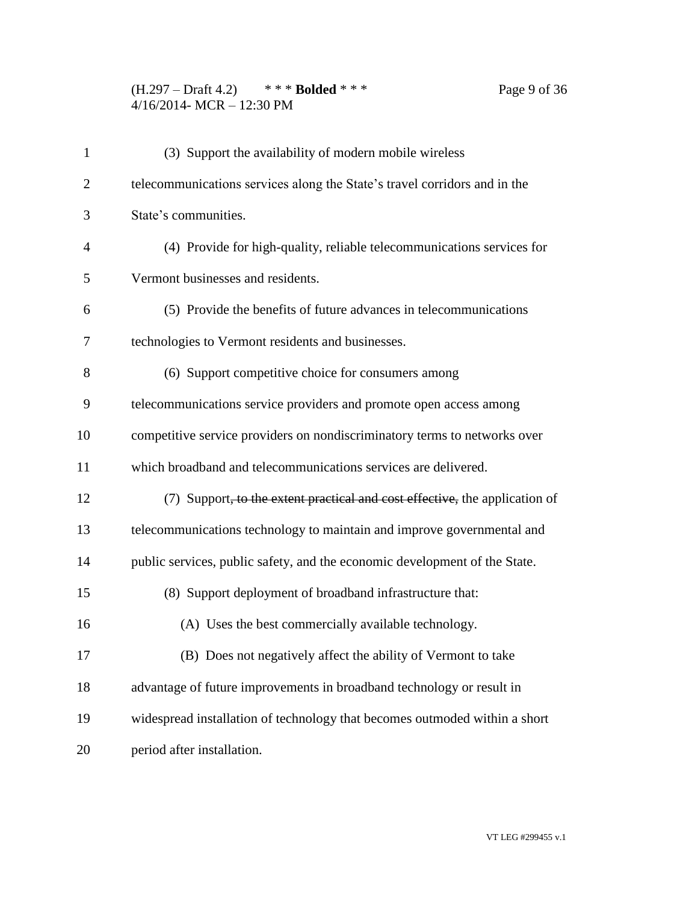## (H.297 – Draft 4.2) \* \* \* **Bolded** \* \* \* Page 9 of 36 4/16/2014- MCR – 12:30 PM

| $\mathbf{1}$   | (3) Support the availability of modern mobile wireless                                  |
|----------------|-----------------------------------------------------------------------------------------|
| $\overline{2}$ | telecommunications services along the State's travel corridors and in the               |
| 3              | State's communities.                                                                    |
| $\overline{4}$ | (4) Provide for high-quality, reliable telecommunications services for                  |
| 5              | Vermont businesses and residents.                                                       |
| 6              | (5) Provide the benefits of future advances in telecommunications                       |
| 7              | technologies to Vermont residents and businesses.                                       |
| 8              | (6) Support competitive choice for consumers among                                      |
| 9              | telecommunications service providers and promote open access among                      |
| 10             | competitive service providers on nondiscriminatory terms to networks over               |
| 11             | which broadband and telecommunications services are delivered.                          |
| 12             | (7) Support <del>, to the extent practical and cost effective,</del> the application of |
| 13             | telecommunications technology to maintain and improve governmental and                  |
| 14             | public services, public safety, and the economic development of the State.              |
| 15             | (8) Support deployment of broadband infrastructure that:                                |
| 16             | (A) Uses the best commercially available technology.                                    |
| 17             | (B) Does not negatively affect the ability of Vermont to take                           |
| 18             | advantage of future improvements in broadband technology or result in                   |
| 19             | widespread installation of technology that becomes outmoded within a short              |
| 20             | period after installation.                                                              |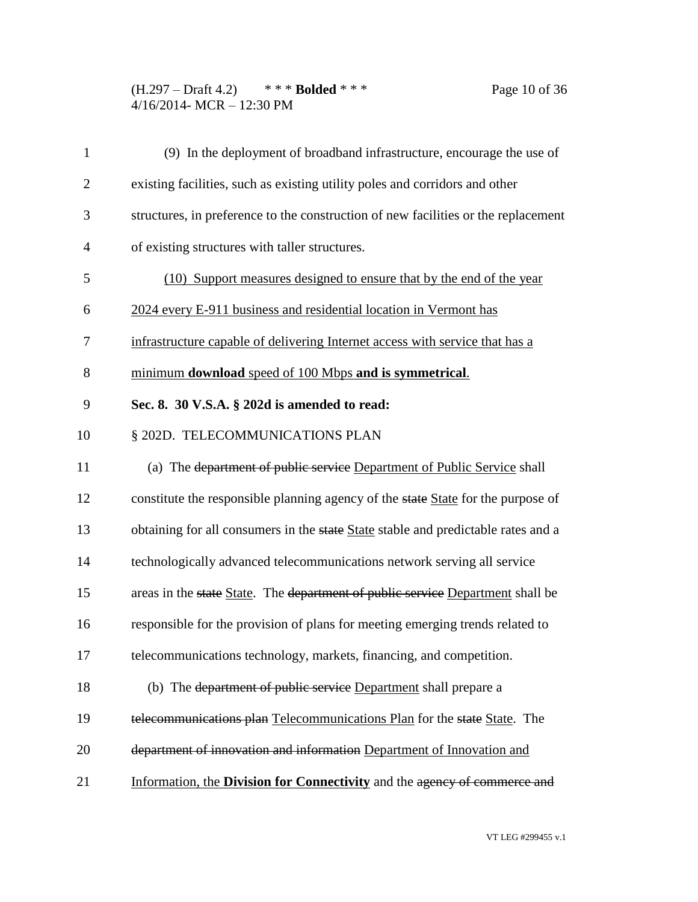(H.297 – Draft 4.2) \* \* \* **Bolded** \* \* \* Page 10 of 36 4/16/2014- MCR – 12:30 PM

| $\mathbf{1}$   | (9) In the deployment of broadband infrastructure, encourage the use of            |
|----------------|------------------------------------------------------------------------------------|
| $\overline{2}$ | existing facilities, such as existing utility poles and corridors and other        |
| 3              | structures, in preference to the construction of new facilities or the replacement |
| $\overline{4}$ | of existing structures with taller structures.                                     |
| 5              | (10) Support measures designed to ensure that by the end of the year               |
| 6              | 2024 every E-911 business and residential location in Vermont has                  |
| 7              | infrastructure capable of delivering Internet access with service that has a       |
| 8              | minimum download speed of 100 Mbps and is symmetrical.                             |
| 9              | Sec. 8. 30 V.S.A. § 202d is amended to read:                                       |
| 10             | § 202D. TELECOMMUNICATIONS PLAN                                                    |
| 11             | (a) The department of public service Department of Public Service shall            |
| 12             | constitute the responsible planning agency of the state State for the purpose of   |
| 13             | obtaining for all consumers in the state State stable and predictable rates and a  |
| 14             | technologically advanced telecommunications network serving all service            |
| 15             | areas in the state State. The department of public service Department shall be     |
| 16             | responsible for the provision of plans for meeting emerging trends related to      |
| 17             | telecommunications technology, markets, financing, and competition.                |
| 18             | (b) The department of public service Department shall prepare a                    |
| 19             | telecommunications plan Telecommunications Plan for the state State. The           |
| 20             | department of innovation and information Department of Innovation and              |
| 21             | Information, the Division for Connectivity and the agency of commerce and          |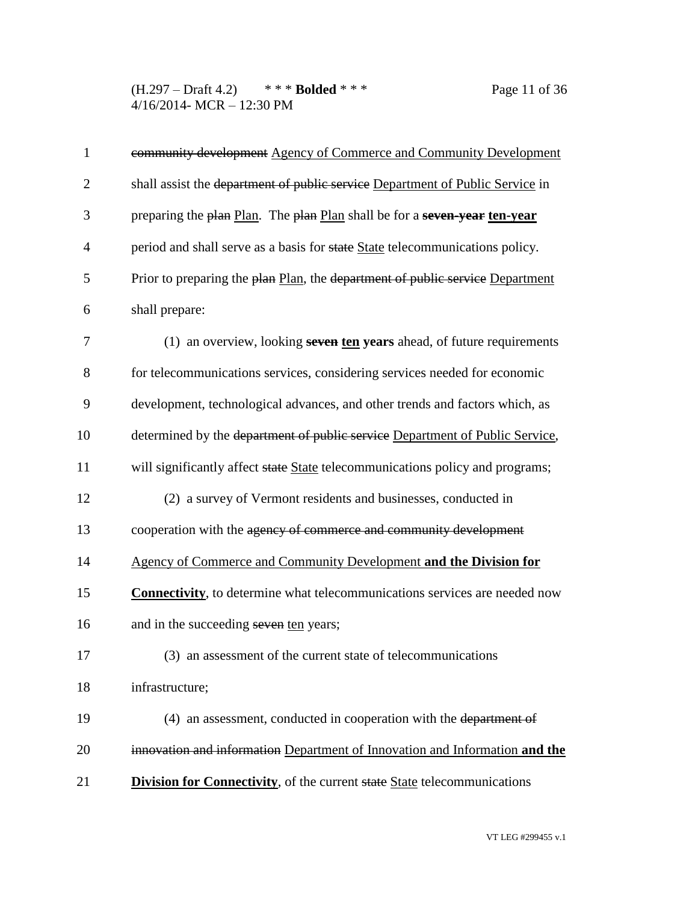(H.297 – Draft 4.2) \* \* \* **Bolded** \* \* \* Page 11 of 36 4/16/2014- MCR – 12:30 PM

| $\mathbf{1}$   | community development Agency of Commerce and Community Development                 |
|----------------|------------------------------------------------------------------------------------|
| $\overline{2}$ | shall assist the department of public service Department of Public Service in      |
| 3              | preparing the plan Plan. The plan Plan shall be for a seven-year ten-year          |
| $\overline{4}$ | period and shall serve as a basis for state State telecommunications policy.       |
| 5              | Prior to preparing the plan Plan, the department of public service Department      |
| 6              | shall prepare:                                                                     |
| 7              | (1) an overview, looking seven ten years ahead, of future requirements             |
| 8              | for telecommunications services, considering services needed for economic          |
| 9              | development, technological advances, and other trends and factors which, as        |
| 10             | determined by the department of public service Department of Public Service,       |
| 11             | will significantly affect state State telecommunications policy and programs;      |
| 12             | (2) a survey of Vermont residents and businesses, conducted in                     |
| 13             | cooperation with the agency of commerce and community development                  |
| 14             | Agency of Commerce and Community Development and the Division for                  |
| 15             | <b>Connectivity</b> , to determine what telecommunications services are needed now |
| 16             | and in the succeeding seven ten years;                                             |
| 17             | (3) an assessment of the current state of telecommunications                       |
| 18             | infrastructure;                                                                    |
| 19             | (4) an assessment, conducted in cooperation with the department of                 |
| 20             | innovation and information Department of Innovation and Information and the        |
| 21             | <b>Division for Connectivity</b> , of the current state State telecommunications   |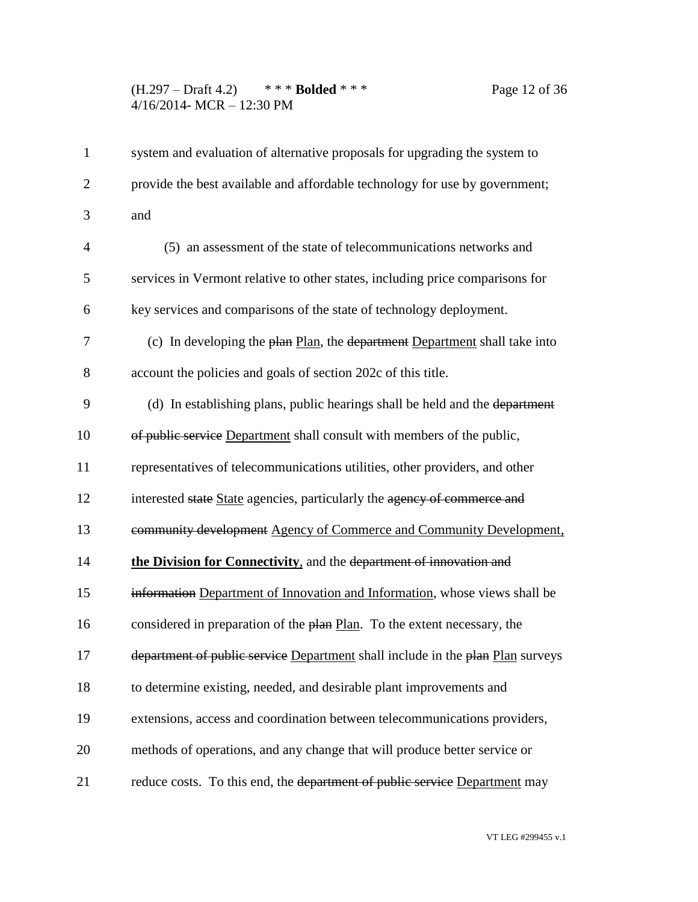## (H.297 – Draft 4.2) \* \* \* **Bolded** \* \* \* Page 12 of 36 4/16/2014- MCR – 12:30 PM

| $\mathbf{1}$   | system and evaluation of alternative proposals for upgrading the system to     |
|----------------|--------------------------------------------------------------------------------|
| $\overline{2}$ | provide the best available and affordable technology for use by government;    |
| 3              | and                                                                            |
| $\overline{4}$ | (5) an assessment of the state of telecommunications networks and              |
| 5              | services in Vermont relative to other states, including price comparisons for  |
| 6              | key services and comparisons of the state of technology deployment.            |
| 7              | (c) In developing the plan Plan, the department Department shall take into     |
| 8              | account the policies and goals of section 202c of this title.                  |
| 9              | (d) In establishing plans, public hearings shall be held and the department    |
| 10             | of public service Department shall consult with members of the public,         |
| 11             | representatives of telecommunications utilities, other providers, and other    |
| 12             | interested state State agencies, particularly the agency of commerce and       |
| 13             | community development Agency of Commerce and Community Development,            |
| 14             | the Division for Connectivity, and the department of innovation and            |
| 15             | information Department of Innovation and Information, whose views shall be     |
| 16             | considered in preparation of the plan Plan. To the extent necessary, the       |
| 17             | department of public service Department shall include in the plan Plan surveys |
| 18             | to determine existing, needed, and desirable plant improvements and            |
| 19             | extensions, access and coordination between telecommunications providers,      |
| 20             | methods of operations, and any change that will produce better service or      |
| 21             | reduce costs. To this end, the department of public service Department may     |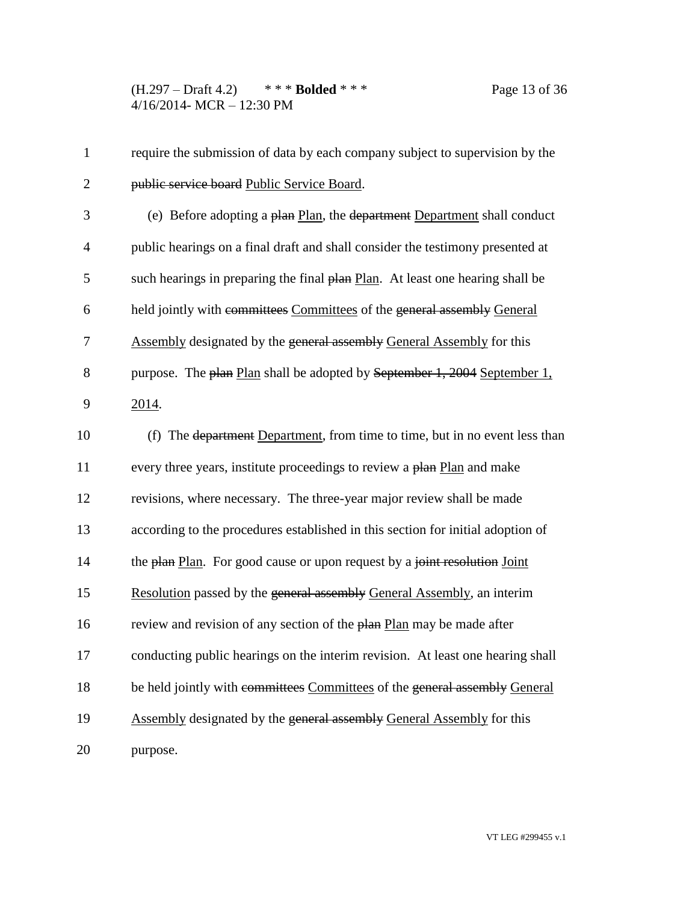(H.297 – Draft 4.2) \* \* \* **Bolded** \* \* \* Page 13 of 36 4/16/2014- MCR – 12:30 PM

| $\mathbf{1}$   | require the submission of data by each company subject to supervision by the    |
|----------------|---------------------------------------------------------------------------------|
| $\overline{2}$ | public service board Public Service Board.                                      |
| 3              | (e) Before adopting a plan Plan, the department Department shall conduct        |
| $\overline{4}$ | public hearings on a final draft and shall consider the testimony presented at  |
| 5              | such hearings in preparing the final plan Plan. At least one hearing shall be   |
| 6              | held jointly with committees Committees of the general assembly General         |
| 7              | <b>Assembly designated by the general assembly General Assembly for this</b>    |
| 8              | purpose. The plan Plan shall be adopted by September 1, 2004 September 1,       |
| 9              | 2014.                                                                           |
| 10             | (f) The department Department, from time to time, but in no event less than     |
| 11             | every three years, institute proceedings to review a plan Plan and make         |
| 12             | revisions, where necessary. The three-year major review shall be made           |
| 13             | according to the procedures established in this section for initial adoption of |
| 14             | the plan Plan. For good cause or upon request by a joint resolution Joint       |
| 15             | Resolution passed by the general assembly General Assembly, an interim          |
| 16             | review and revision of any section of the plan Plan may be made after           |
| 17             | conducting public hearings on the interim revision. At least one hearing shall  |
| 18             | be held jointly with committees Committees of the general assembly General      |
| 19             | Assembly designated by the general assembly General Assembly for this           |
| 20             | purpose.                                                                        |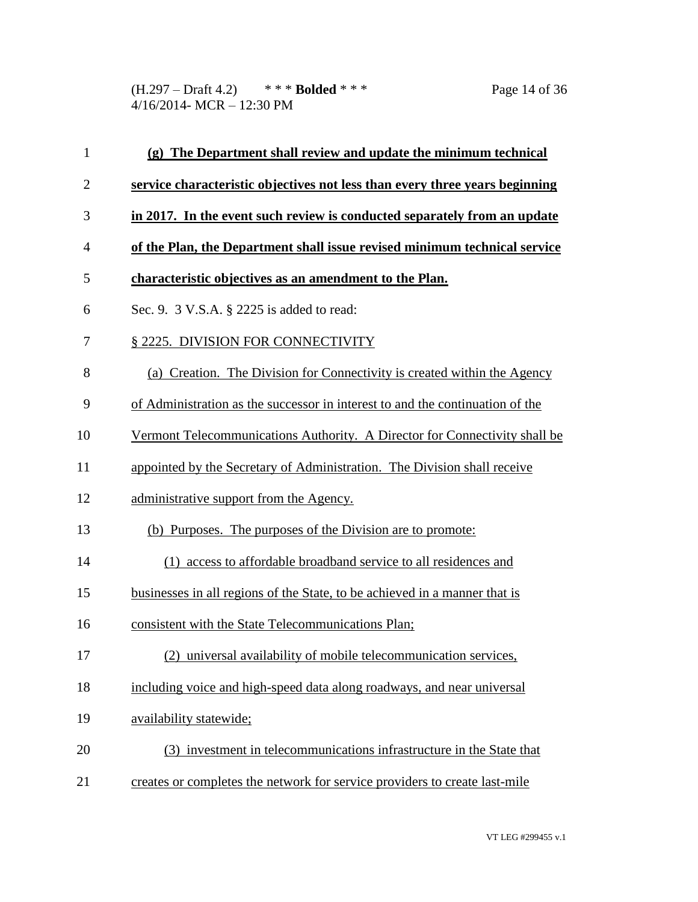(H.297 – Draft 4.2) \* \* \* **Bolded** \* \* \* Page 14 of 36 4/16/2014- MCR – 12:30 PM

| $\mathbf{1}$   | (g) The Department shall review and update the minimum technical              |
|----------------|-------------------------------------------------------------------------------|
| $\overline{2}$ | service characteristic objectives not less than every three years beginning   |
| 3              | in 2017. In the event such review is conducted separately from an update      |
| 4              | of the Plan, the Department shall issue revised minimum technical service     |
| 5              | characteristic objectives as an amendment to the Plan.                        |
| 6              | Sec. 9. 3 V.S.A. § 2225 is added to read:                                     |
| 7              | § 2225. DIVISION FOR CONNECTIVITY                                             |
| 8              | (a) Creation. The Division for Connectivity is created within the Agency      |
| 9              | of Administration as the successor in interest to and the continuation of the |
| 10             | Vermont Telecommunications Authority. A Director for Connectivity shall be    |
| 11             | appointed by the Secretary of Administration. The Division shall receive      |
| 12             | administrative support from the Agency.                                       |
| 13             | (b) Purposes. The purposes of the Division are to promote:                    |
| 14             | (1) access to affordable broadband service to all residences and              |
| 15             | businesses in all regions of the State, to be achieved in a manner that is    |
| 16             | consistent with the State Telecommunications Plan;                            |
| 17             | (2) universal availability of mobile telecommunication services,              |
| 18             | including voice and high-speed data along roadways, and near universal        |
| 19             | availability statewide;                                                       |
| 20             | (3) investment in telecommunications infrastructure in the State that         |
| 21             | creates or completes the network for service providers to create last-mile    |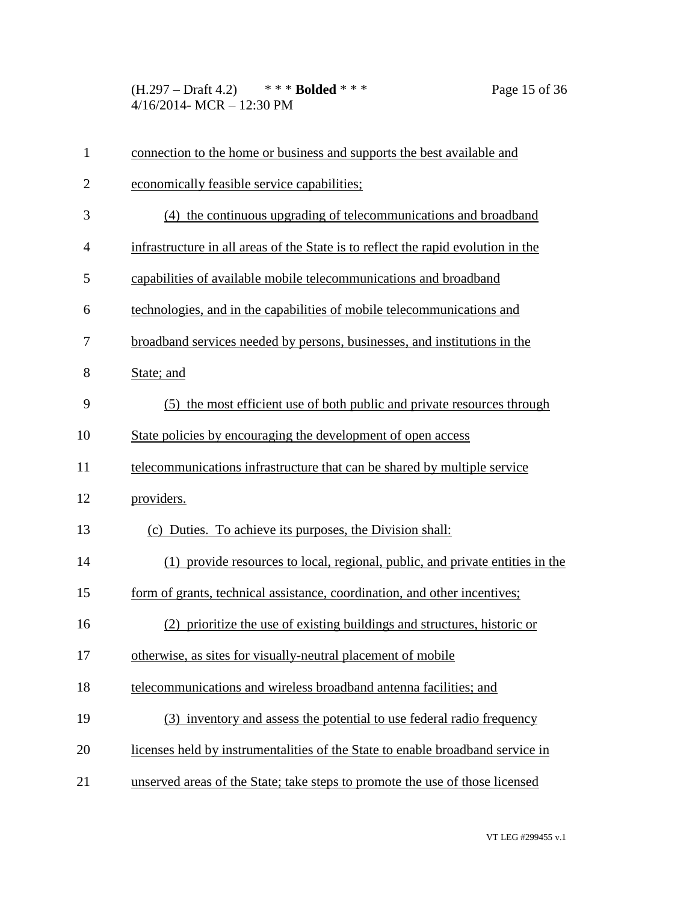(H.297 – Draft 4.2) \* \* \* **Bolded** \* \* \* Page 15 of 36 4/16/2014- MCR – 12:30 PM

| $\mathbf{1}$   | connection to the home or business and supports the best available and            |
|----------------|-----------------------------------------------------------------------------------|
| $\overline{2}$ | economically feasible service capabilities;                                       |
| 3              | (4) the continuous upgrading of telecommunications and broadband                  |
| 4              | infrastructure in all areas of the State is to reflect the rapid evolution in the |
| 5              | capabilities of available mobile telecommunications and broadband                 |
| 6              | technologies, and in the capabilities of mobile telecommunications and            |
| 7              | broadband services needed by persons, businesses, and institutions in the         |
| 8              | State; and                                                                        |
| 9              | (5) the most efficient use of both public and private resources through           |
| 10             | State policies by encouraging the development of open access                      |
| 11             | telecommunications infrastructure that can be shared by multiple service          |
| 12             | providers.                                                                        |
| 13             | (c) Duties. To achieve its purposes, the Division shall:                          |
| 14             | (1) provide resources to local, regional, public, and private entities in the     |
| 15             | form of grants, technical assistance, coordination, and other incentives;         |
| 16             | (2) prioritize the use of existing buildings and structures, historic or          |
| 17             | otherwise, as sites for visually-neutral placement of mobile                      |
| 18             | telecommunications and wireless broadband antenna facilities; and                 |
| 19             | (3) inventory and assess the potential to use federal radio frequency             |
| 20             | licenses held by instrumentalities of the State to enable broadband service in    |
| 21             | unserved areas of the State; take steps to promote the use of those licensed      |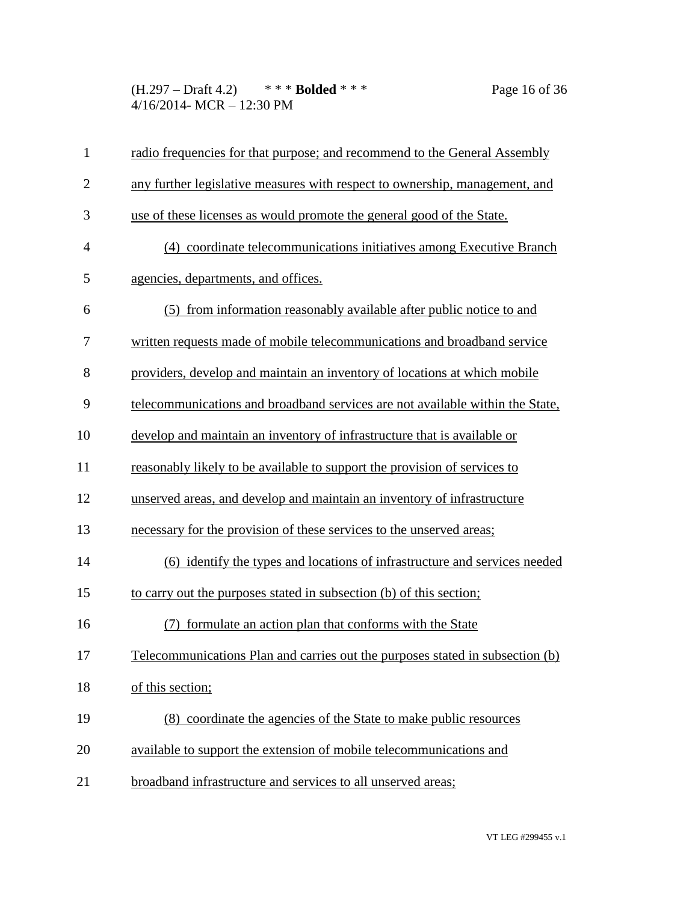(H.297 – Draft 4.2) \* \* \* **Bolded** \* \* \* Page 16 of 36 4/16/2014- MCR – 12:30 PM

| $\mathbf{1}$   | radio frequencies for that purpose; and recommend to the General Assembly     |
|----------------|-------------------------------------------------------------------------------|
| $\overline{2}$ | any further legislative measures with respect to ownership, management, and   |
| 3              | use of these licenses as would promote the general good of the State.         |
| $\overline{4}$ | (4) coordinate telecommunications initiatives among Executive Branch          |
| 5              | agencies, departments, and offices.                                           |
| 6              | (5) from information reasonably available after public notice to and          |
| 7              | written requests made of mobile telecommunications and broadband service      |
| 8              | providers, develop and maintain an inventory of locations at which mobile     |
| 9              | telecommunications and broadband services are not available within the State, |
| 10             | develop and maintain an inventory of infrastructure that is available or      |
| 11             | reasonably likely to be available to support the provision of services to     |
| 12             | unserved areas, and develop and maintain an inventory of infrastructure       |
| 13             | necessary for the provision of these services to the unserved areas;          |
| 14             | (6) identify the types and locations of infrastructure and services needed    |
| 15             | to carry out the purposes stated in subsection (b) of this section;           |
| 16             | formulate an action plan that conforms with the State                         |
| 17             | Telecommunications Plan and carries out the purposes stated in subsection (b) |
| 18             | of this section;                                                              |
| 19             | (8) coordinate the agencies of the State to make public resources             |
| 20             | available to support the extension of mobile telecommunications and           |
| 21             | broadband infrastructure and services to all unserved areas;                  |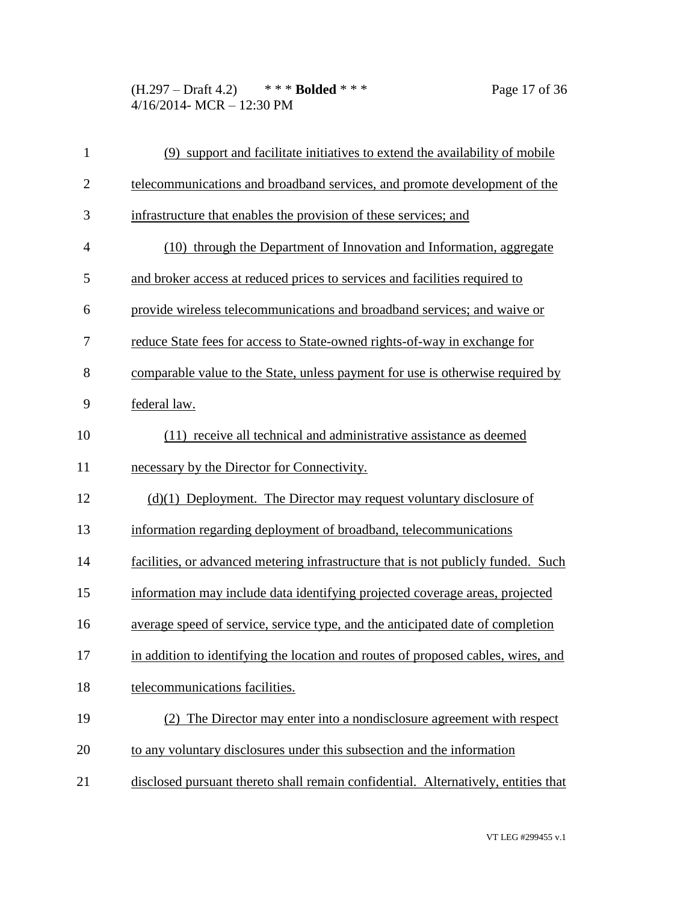(H.297 – Draft 4.2) \* \* \* **Bolded** \* \* \* Page 17 of 36 4/16/2014- MCR – 12:30 PM

| $\mathbf{1}$   | (9) support and facilitate initiatives to extend the availability of mobile        |
|----------------|------------------------------------------------------------------------------------|
| $\overline{2}$ | telecommunications and broadband services, and promote development of the          |
| 3              | infrastructure that enables the provision of these services; and                   |
| $\overline{4}$ | (10) through the Department of Innovation and Information, aggregate               |
| 5              | and broker access at reduced prices to services and facilities required to         |
| 6              | provide wireless telecommunications and broadband services; and waive or           |
| 7              | reduce State fees for access to State-owned rights-of-way in exchange for          |
| 8              | comparable value to the State, unless payment for use is otherwise required by     |
| 9              | federal law.                                                                       |
| 10             | (11) receive all technical and administrative assistance as deemed                 |
| 11             | necessary by the Director for Connectivity.                                        |
| 12             | $(d)(1)$ Deployment. The Director may request voluntary disclosure of              |
| 13             | information regarding deployment of broadband, telecommunications                  |
| 14             | facilities, or advanced metering infrastructure that is not publicly funded. Such  |
| 15             | information may include data identifying projected coverage areas, projected       |
| 16             | average speed of service, service type, and the anticipated date of completion     |
| 17             | in addition to identifying the location and routes of proposed cables, wires, and  |
| 18             | telecommunications facilities.                                                     |
| 19             | (2) The Director may enter into a nondisclosure agreement with respect             |
| 20             | to any voluntary disclosures under this subsection and the information             |
| 21             | disclosed pursuant thereto shall remain confidential. Alternatively, entities that |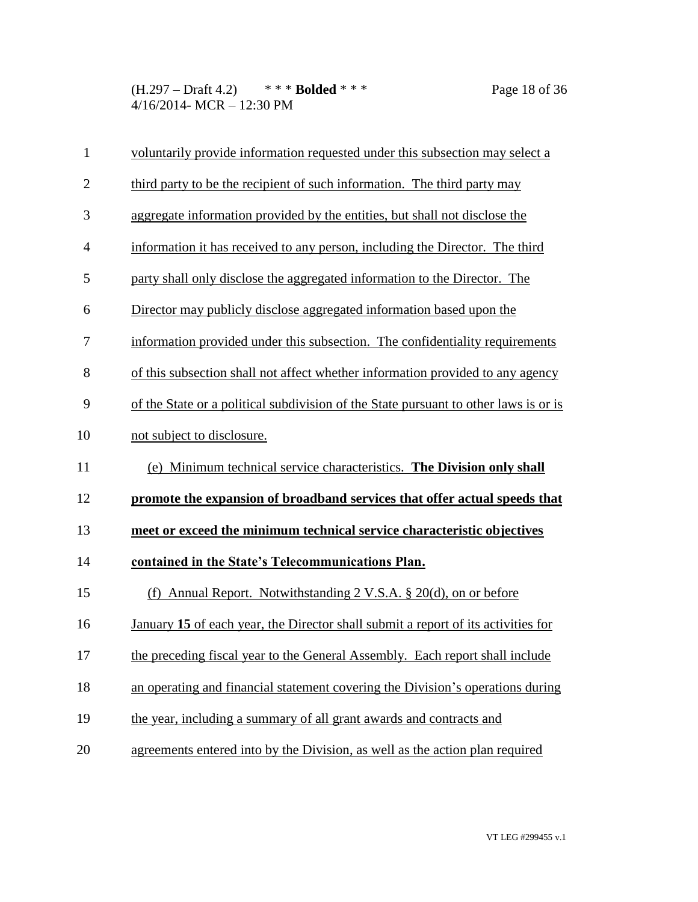(H.297 – Draft 4.2) \* \* \* **Bolded** \* \* \* Page 18 of 36 4/16/2014- MCR – 12:30 PM

| voluntarily provide information requested under this subsection may select a         |
|--------------------------------------------------------------------------------------|
| third party to be the recipient of such information. The third party may             |
| aggregate information provided by the entities, but shall not disclose the           |
| information it has received to any person, including the Director. The third         |
| party shall only disclose the aggregated information to the Director. The            |
| Director may publicly disclose aggregated information based upon the                 |
| information provided under this subsection. The confidentiality requirements         |
| of this subsection shall not affect whether information provided to any agency       |
| of the State or a political subdivision of the State pursuant to other laws is or is |
|                                                                                      |
| not subject to disclosure.                                                           |
| (e) Minimum technical service characteristics. The Division only shall               |
| promote the expansion of broadband services that offer actual speeds that            |
| meet or exceed the minimum technical service characteristic objectives               |
| contained in the State's Telecommunications Plan.                                    |
| Annual Report. Notwithstanding 2 V.S.A. § 20(d), on or before<br>(f)                 |
| January 15 of each year, the Director shall submit a report of its activities for    |
| the preceding fiscal year to the General Assembly. Each report shall include         |
| an operating and financial statement covering the Division's operations during       |
| the year, including a summary of all grant awards and contracts and                  |
|                                                                                      |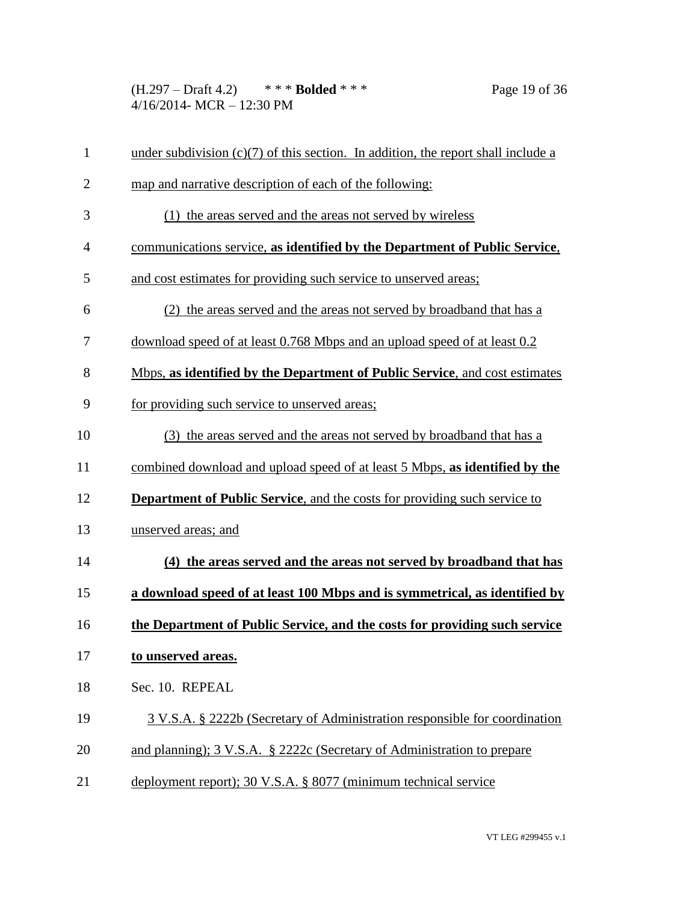(H.297 – Draft 4.2) \* \* \* **Bolded** \* \* \* Page 19 of 36 4/16/2014- MCR – 12:30 PM

| $\mathbf{1}$   | under subdivision $(c)(7)$ of this section. In addition, the report shall include a |
|----------------|-------------------------------------------------------------------------------------|
| $\overline{2}$ | map and narrative description of each of the following:                             |
| 3              | (1) the areas served and the areas not served by wireless                           |
| $\overline{4}$ | communications service, as identified by the Department of Public Service,          |
| 5              | and cost estimates for providing such service to unserved areas;                    |
| 6              | (2) the areas served and the areas not served by broadband that has a               |
| 7              | download speed of at least 0.768 Mbps and an upload speed of at least 0.2           |
| 8              | Mbps, as identified by the Department of Public Service, and cost estimates         |
| 9              | for providing such service to unserved areas;                                       |
| 10             | (3) the areas served and the areas not served by broadband that has a               |
| 11             | combined download and upload speed of at least 5 Mbps, as identified by the         |
| 12             | <b>Department of Public Service, and the costs for providing such service to</b>    |
| 13             | unserved areas; and                                                                 |
| 14             | (4) the areas served and the areas not served by broadband that has                 |
| 15             | a download speed of at least 100 Mbps and is symmetrical, as identified by          |
| 16             | the Department of Public Service, and the costs for providing such service          |
| 17             | to unserved areas.                                                                  |
| 18             | Sec. 10. REPEAL                                                                     |
| 19             | 3 V.S.A. § 2222b (Secretary of Administration responsible for coordination          |
| 20             | and planning); 3 V.S.A. § 2222c (Secretary of Administration to prepare             |
| 21             | deployment report); 30 V.S.A. § 8077 (minimum technical service                     |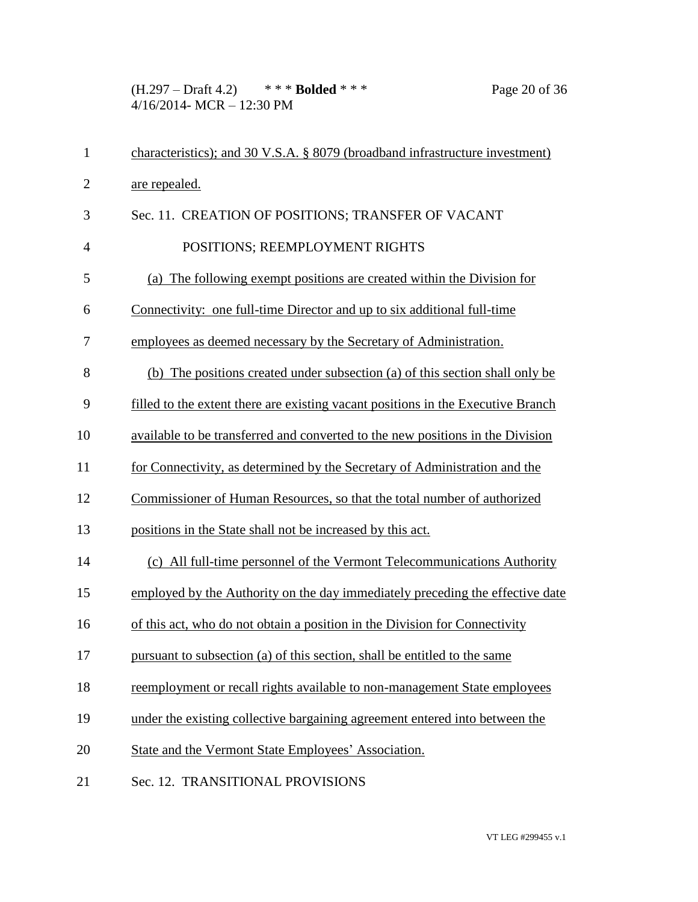(H.297 – Draft 4.2) \* \* \* **Bolded** \* \* \* Page 20 of 36 4/16/2014- MCR – 12:30 PM

| $\mathbf{1}$   | characteristics); and 30 V.S.A. § 8079 (broadband infrastructure investment)     |
|----------------|----------------------------------------------------------------------------------|
| $\overline{2}$ | are repealed.                                                                    |
| 3              | Sec. 11. CREATION OF POSITIONS; TRANSFER OF VACANT                               |
| 4              | POSITIONS; REEMPLOYMENT RIGHTS                                                   |
| 5              | (a) The following exempt positions are created within the Division for           |
| 6              | Connectivity: one full-time Director and up to six additional full-time          |
| 7              | employees as deemed necessary by the Secretary of Administration.                |
| 8              | (b) The positions created under subsection (a) of this section shall only be     |
| 9              | filled to the extent there are existing vacant positions in the Executive Branch |
| 10             | available to be transferred and converted to the new positions in the Division   |
| 11             | for Connectivity, as determined by the Secretary of Administration and the       |
| 12             | Commissioner of Human Resources, so that the total number of authorized          |
| 13             | positions in the State shall not be increased by this act.                       |
| 14             | (c) All full-time personnel of the Vermont Telecommunications Authority          |
| 15             | employed by the Authority on the day immediately preceding the effective date    |
| 16             | of this act, who do not obtain a position in the Division for Connectivity       |
| 17             | pursuant to subsection (a) of this section, shall be entitled to the same        |
| 18             | reemployment or recall rights available to non-management State employees        |
| 19             | under the existing collective bargaining agreement entered into between the      |
| 20             | State and the Vermont State Employees' Association.                              |
| 21             | Sec. 12. TRANSITIONAL PROVISIONS                                                 |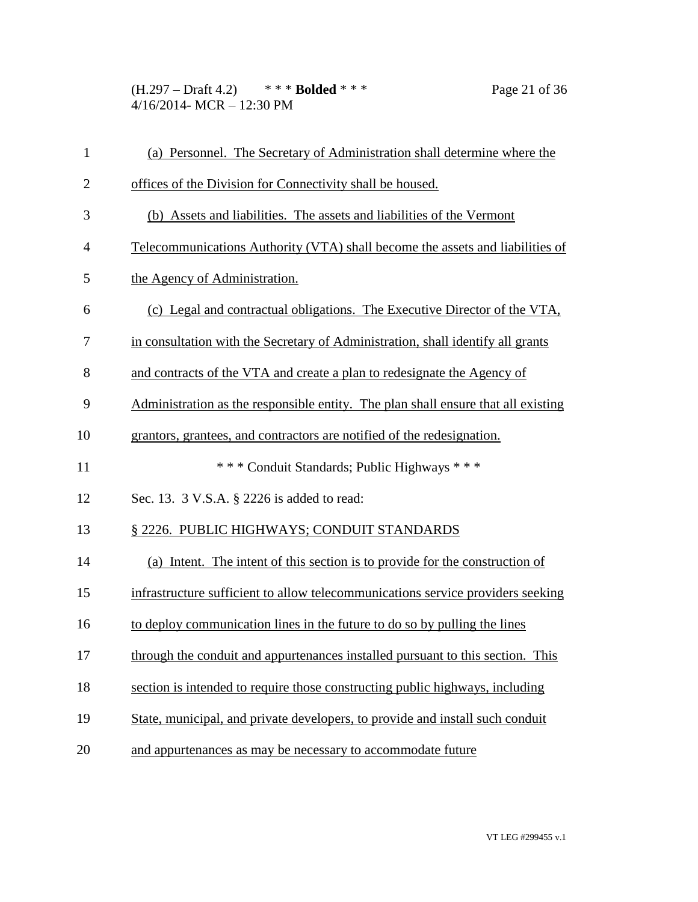(H.297 – Draft 4.2) \* \* \* **Bolded** \* \* \* Page 21 of 36 4/16/2014- MCR – 12:30 PM

| 1              | (a) Personnel. The Secretary of Administration shall determine where the          |
|----------------|-----------------------------------------------------------------------------------|
| $\overline{2}$ | offices of the Division for Connectivity shall be housed.                         |
| 3              | (b) Assets and liabilities. The assets and liabilities of the Vermont             |
| $\overline{4}$ | Telecommunications Authority (VTA) shall become the assets and liabilities of     |
| 5              | the Agency of Administration.                                                     |
| 6              | (c) Legal and contractual obligations. The Executive Director of the VTA,         |
| 7              | in consultation with the Secretary of Administration, shall identify all grants   |
| 8              | and contracts of the VTA and create a plan to redesignate the Agency of           |
| 9              | Administration as the responsible entity. The plan shall ensure that all existing |
| 10             | grantors, grantees, and contractors are notified of the redesignation.            |
| 11             | *** Conduit Standards; Public Highways ***                                        |
| 12             | Sec. 13. 3 V.S.A. § 2226 is added to read:                                        |
| 13             | § 2226. PUBLIC HIGHWAYS; CONDUIT STANDARDS                                        |
| 14             | (a) Intent. The intent of this section is to provide for the construction of      |
| 15             | infrastructure sufficient to allow telecommunications service providers seeking   |
| 16             | to deploy communication lines in the future to do so by pulling the lines         |
| 17             | through the conduit and appurtenances installed pursuant to this section. This    |
| 18             | section is intended to require those constructing public highways, including      |
| 19             | State, municipal, and private developers, to provide and install such conduit     |
| 20             |                                                                                   |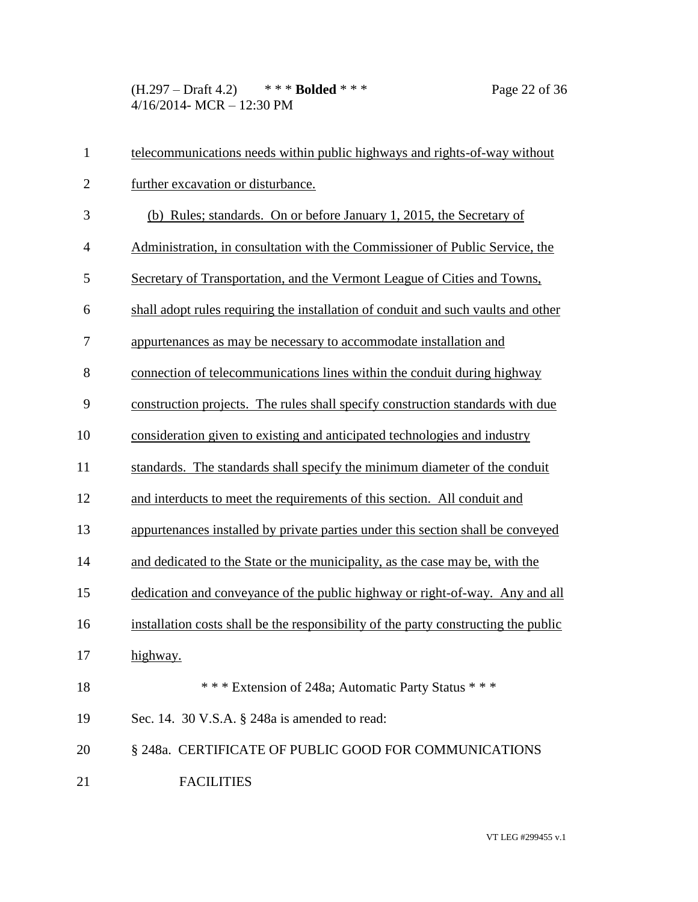(H.297 – Draft 4.2) \* \* \* **Bolded** \* \* \* Page 22 of 36 4/16/2014- MCR – 12:30 PM

| $\mathbf{1}$   | telecommunications needs within public highways and rights-of-way without           |
|----------------|-------------------------------------------------------------------------------------|
| $\overline{2}$ | further excavation or disturbance.                                                  |
| 3              | (b) Rules; standards. On or before January 1, 2015, the Secretary of                |
| $\overline{4}$ | Administration, in consultation with the Commissioner of Public Service, the        |
| 5              | Secretary of Transportation, and the Vermont League of Cities and Towns,            |
| 6              | shall adopt rules requiring the installation of conduit and such vaults and other   |
| 7              | appurtenances as may be necessary to accommodate installation and                   |
| 8              | connection of telecommunications lines within the conduit during highway            |
| 9              | construction projects. The rules shall specify construction standards with due      |
| 10             | consideration given to existing and anticipated technologies and industry           |
| 11             | standards. The standards shall specify the minimum diameter of the conduit          |
| 12             | and interducts to meet the requirements of this section. All conduit and            |
| 13             | appurtenances installed by private parties under this section shall be conveyed     |
| 14             | and dedicated to the State or the municipality, as the case may be, with the        |
| 15             | dedication and conveyance of the public highway or right-of-way. Any and all        |
| 16             | installation costs shall be the responsibility of the party constructing the public |
| 17             | highway.                                                                            |
| 18             | *** Extension of 248a; Automatic Party Status ***                                   |
| 19             | Sec. 14. 30 V.S.A. § 248a is amended to read:                                       |
| 20             | § 248a. CERTIFICATE OF PUBLIC GOOD FOR COMMUNICATIONS                               |
| 21             | <b>FACILITIES</b>                                                                   |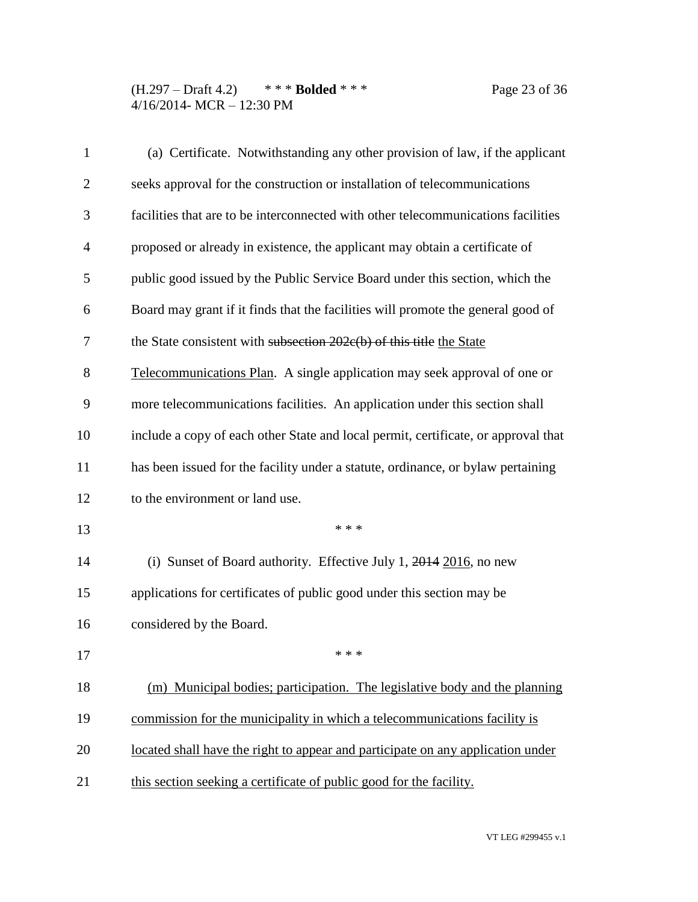(H.297 – Draft 4.2) \* \* \* **Bolded** \* \* \* Page 23 of 36 4/16/2014- MCR – 12:30 PM

| $\mathbf{1}$   | (a) Certificate. Notwithstanding any other provision of law, if the applicant      |
|----------------|------------------------------------------------------------------------------------|
| $\overline{2}$ | seeks approval for the construction or installation of telecommunications          |
| 3              | facilities that are to be interconnected with other telecommunications facilities  |
| $\overline{4}$ | proposed or already in existence, the applicant may obtain a certificate of        |
| 5              | public good issued by the Public Service Board under this section, which the       |
| 6              | Board may grant if it finds that the facilities will promote the general good of   |
| 7              | the State consistent with subsection 202e(b) of this title the State               |
| 8              | Telecommunications Plan. A single application may seek approval of one or          |
| 9              | more telecommunications facilities. An application under this section shall        |
| 10             | include a copy of each other State and local permit, certificate, or approval that |
| 11             | has been issued for the facility under a statute, ordinance, or bylaw pertaining   |
| 12             | to the environment or land use.                                                    |
| 13             | * * *                                                                              |
| 14             | (i) Sunset of Board authority. Effective July 1, $2014$ $2016$ , no new            |
| 15             | applications for certificates of public good under this section may be             |
| 16             | considered by the Board.                                                           |
| 17             | * * *                                                                              |
| 18             | (m) Municipal bodies; participation. The legislative body and the planning         |
| 19             | commission for the municipality in which a telecommunications facility is          |
| 20             | located shall have the right to appear and participate on any application under    |
| 21             | this section seeking a certificate of public good for the facility.                |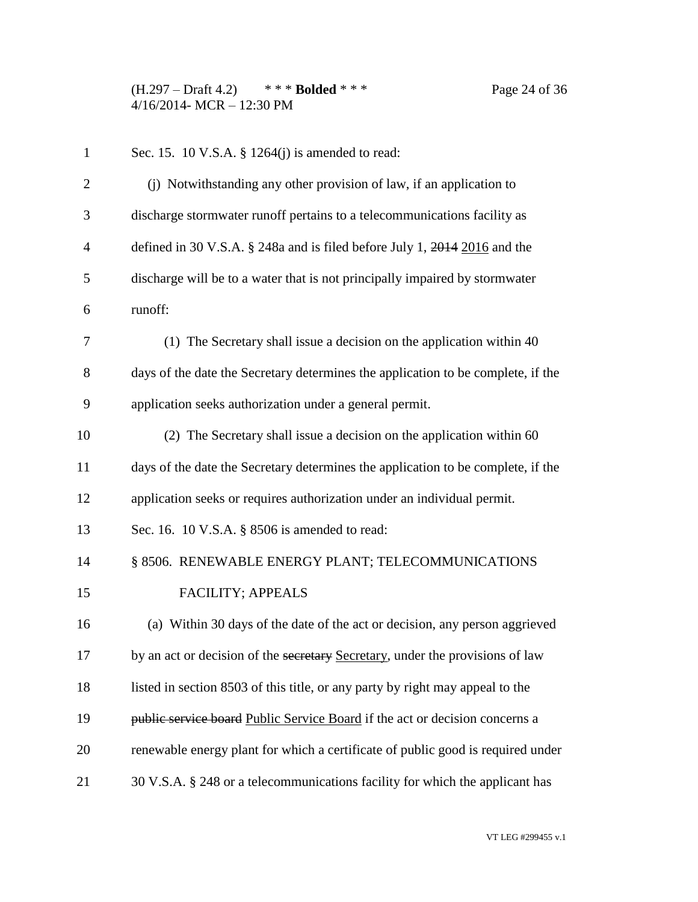(H.297 – Draft 4.2) \* \* \* **Bolded** \* \* \* Page 24 of 36 4/16/2014- MCR – 12:30 PM

 Sec. 15. 10 V.S.A. § 1264(j) is amended to read: (j) Notwithstanding any other provision of law, if an application to discharge stormwater runoff pertains to a telecommunications facility as defined in 30 V.S.A. § 248a and is filed before July 1, 2014 2016 and the discharge will be to a water that is not principally impaired by stormwater runoff: (1) The Secretary shall issue a decision on the application within 40 days of the date the Secretary determines the application to be complete, if the application seeks authorization under a general permit. (2) The Secretary shall issue a decision on the application within 60 days of the date the Secretary determines the application to be complete, if the application seeks or requires authorization under an individual permit. Sec. 16. 10 V.S.A. § 8506 is amended to read: 14 § 8506. RENEWABLE ENERGY PLANT; TELECOMMUNICATIONS 15 FACILITY; APPEALS (a) Within 30 days of the date of the act or decision, any person aggrieved 17 by an act or decision of the secretary Secretary, under the provisions of law listed in section 8503 of this title, or any party by right may appeal to the **public service board** Public Service Board if the act or decision concerns a renewable energy plant for which a certificate of public good is required under 30 V.S.A. § 248 or a telecommunications facility for which the applicant has

VT LEG #299455 v.1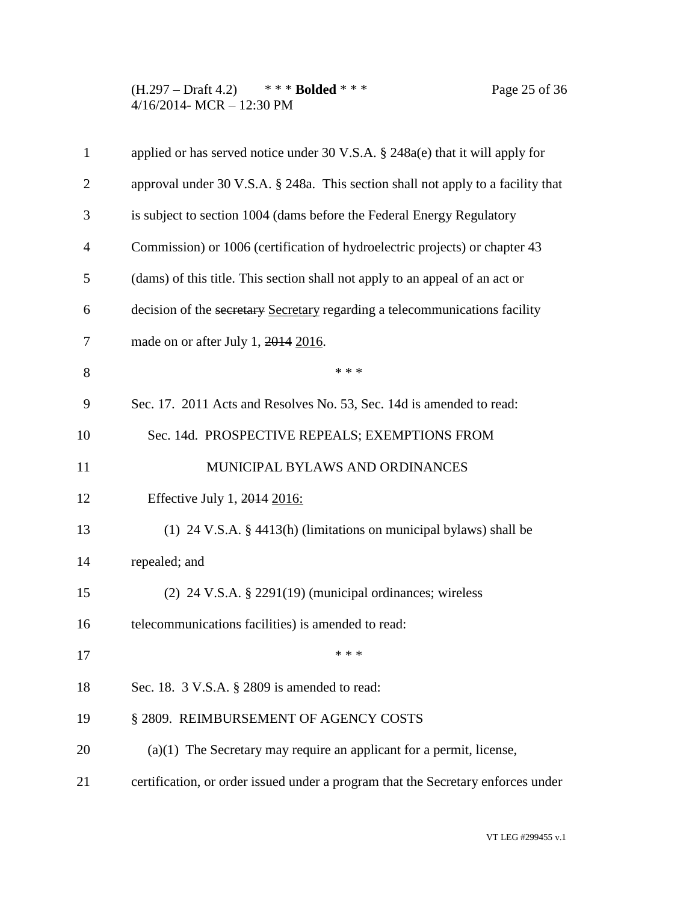(H.297 – Draft 4.2) \* \* \* **Bolded** \* \* \* Page 25 of 36 4/16/2014- MCR – 12:30 PM

| $\mathbf{1}$   | applied or has served notice under 30 V.S.A. $\S$ 248a(e) that it will apply for |
|----------------|----------------------------------------------------------------------------------|
| $\overline{2}$ | approval under 30 V.S.A. § 248a. This section shall not apply to a facility that |
| 3              | is subject to section 1004 (dams before the Federal Energy Regulatory            |
| $\overline{4}$ | Commission) or 1006 (certification of hydroelectric projects) or chapter 43      |
| 5              | (dams) of this title. This section shall not apply to an appeal of an act or     |
| 6              | decision of the secretary Secretary regarding a telecommunications facility      |
| 7              | made on or after July 1, 2014 2016.                                              |
| 8              | * * *                                                                            |
| 9              | Sec. 17. 2011 Acts and Resolves No. 53, Sec. 14d is amended to read:             |
| 10             | Sec. 14d. PROSPECTIVE REPEALS; EXEMPTIONS FROM                                   |
| 11             | MUNICIPAL BYLAWS AND ORDINANCES                                                  |
| 12             | Effective July 1, 2014 2016:                                                     |
| 13             | (1) 24 V.S.A. $\S$ 4413(h) (limitations on municipal bylaws) shall be            |
| 14             | repealed; and                                                                    |
| 15             | $(2)$ 24 V.S.A. § 2291(19) (municipal ordinances; wireless                       |
| 16             | telecommunications facilities) is amended to read:                               |
| 17             | * * *                                                                            |
| 18             | Sec. 18. 3 V.S.A. § 2809 is amended to read:                                     |
| 19             | § 2809. REIMBURSEMENT OF AGENCY COSTS                                            |
| 20             | $(a)(1)$ The Secretary may require an applicant for a permit, license,           |
| 21             | certification, or order issued under a program that the Secretary enforces under |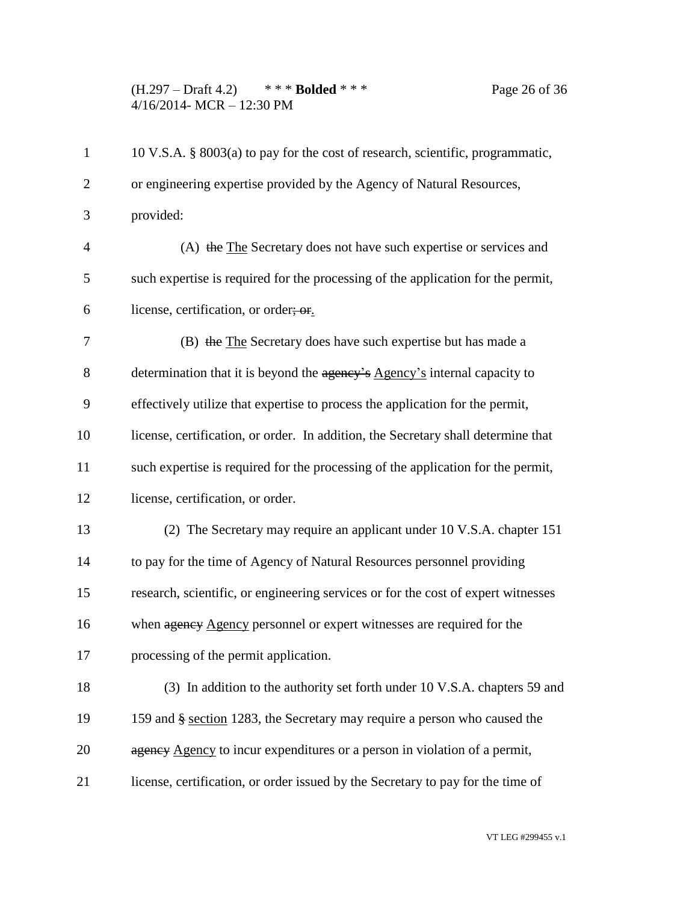(H.297 – Draft 4.2) \* \* \* **Bolded** \* \* \* Page 26 of 36 4/16/2014- MCR – 12:30 PM

| $\mathbf{1}$   | 10 V.S.A. § 8003(a) to pay for the cost of research, scientific, programmatic,    |
|----------------|-----------------------------------------------------------------------------------|
| $\overline{2}$ | or engineering expertise provided by the Agency of Natural Resources,             |
| 3              | provided:                                                                         |
| $\overline{4}$ | (A) the The Secretary does not have such expertise or services and                |
| 5              | such expertise is required for the processing of the application for the permit,  |
| 6              | license, certification, or order; or.                                             |
| 7              | (B) the The Secretary does have such expertise but has made a                     |
| 8              | determination that it is beyond the agency's Agency's internal capacity to        |
| 9              | effectively utilize that expertise to process the application for the permit,     |
| 10             | license, certification, or order. In addition, the Secretary shall determine that |
| 11             | such expertise is required for the processing of the application for the permit,  |
| 12             | license, certification, or order.                                                 |
| 13             | (2) The Secretary may require an applicant under 10 V.S.A. chapter 151            |
| 14             | to pay for the time of Agency of Natural Resources personnel providing            |
| 15             | research, scientific, or engineering services or for the cost of expert witnesses |
| 16             | when agency Agency personnel or expert witnesses are required for the             |
| 17             | processing of the permit application.                                             |
| 18             | (3) In addition to the authority set forth under 10 V.S.A. chapters 59 and        |
| 19             | 159 and § section 1283, the Secretary may require a person who caused the         |
| 20             | agency Agency to incur expenditures or a person in violation of a permit,         |
| 21             | license, certification, or order issued by the Secretary to pay for the time of   |
|                |                                                                                   |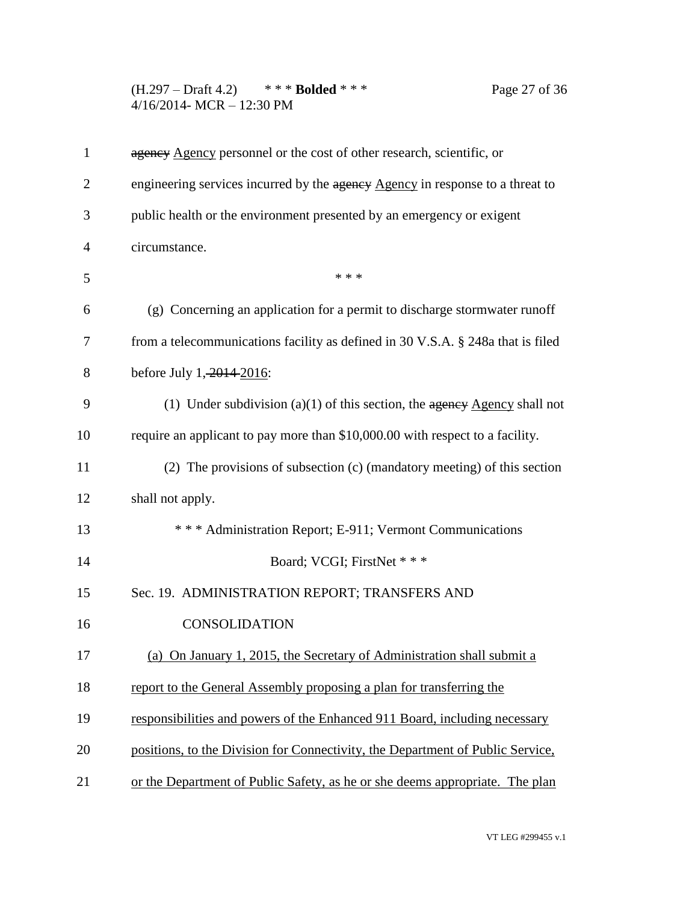(H.297 – Draft 4.2) \* \* \* **Bolded** \* \* \* Page 27 of 36 4/16/2014- MCR – 12:30 PM

| engineering services incurred by the agency Agency in response to a threat to   |
|---------------------------------------------------------------------------------|
| public health or the environment presented by an emergency or exigent           |
| circumstance.                                                                   |
| * * *                                                                           |
| (g) Concerning an application for a permit to discharge stormwater runoff       |
| from a telecommunications facility as defined in 30 V.S.A. § 248a that is filed |
| before July 1, 2014-2016:                                                       |
| (1) Under subdivision (a)(1) of this section, the $a$ geney Agency shall not    |
| require an applicant to pay more than \$10,000.00 with respect to a facility.   |
| (2) The provisions of subsection (c) (mandatory meeting) of this section        |
| shall not apply.                                                                |
| *** Administration Report; E-911; Vermont Communications                        |
| Board; VCGI; FirstNet ***                                                       |
| Sec. 19. ADMINISTRATION REPORT; TRANSFERS AND                                   |
| <b>CONSOLIDATION</b>                                                            |
| (a) On January 1, 2015, the Secretary of Administration shall submit a          |
| report to the General Assembly proposing a plan for transferring the            |
| responsibilities and powers of the Enhanced 911 Board, including necessary      |
| positions, to the Division for Connectivity, the Department of Public Service,  |
| or the Department of Public Safety, as he or she deems appropriate. The plan    |
|                                                                                 |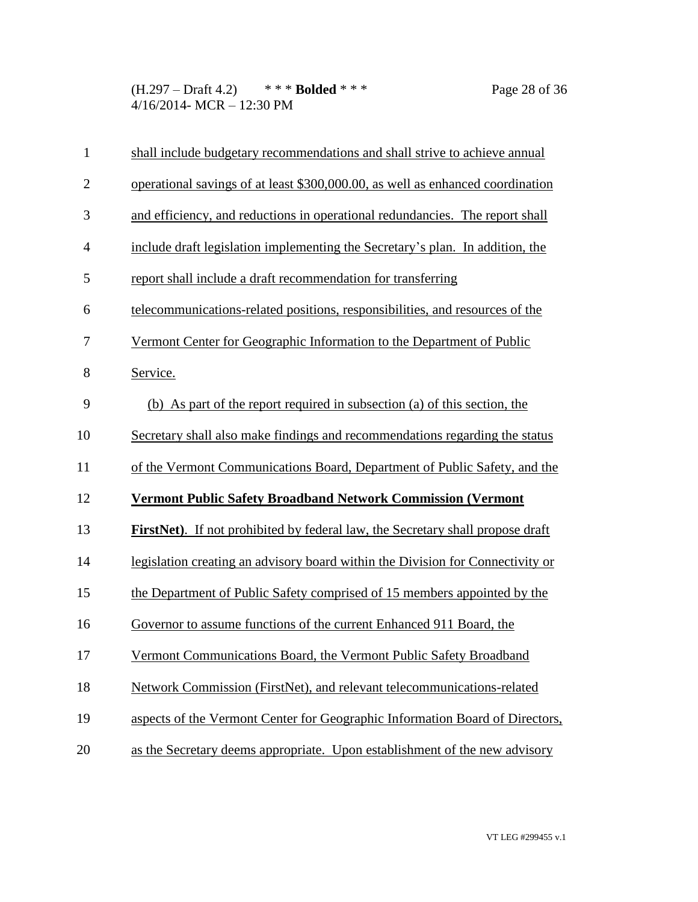(H.297 – Draft 4.2) \* \* \* **Bolded** \* \* \* Page 28 of 36 4/16/2014- MCR – 12:30 PM

| $\mathbf{1}$   | shall include budgetary recommendations and shall strive to achieve annual             |
|----------------|----------------------------------------------------------------------------------------|
| $\overline{2}$ | operational savings of at least \$300,000.00, as well as enhanced coordination         |
| 3              | and efficiency, and reductions in operational redundancies. The report shall           |
| $\overline{4}$ | include draft legislation implementing the Secretary's plan. In addition, the          |
| 5              | report shall include a draft recommendation for transferring                           |
| 6              | telecommunications-related positions, responsibilities, and resources of the           |
| 7              | Vermont Center for Geographic Information to the Department of Public                  |
| 8              | Service.                                                                               |
| 9              | (b) As part of the report required in subsection (a) of this section, the              |
| 10             | Secretary shall also make findings and recommendations regarding the status            |
| 11             | of the Vermont Communications Board, Department of Public Safety, and the              |
| 12             | <b>Vermont Public Safety Broadband Network Commission (Vermont</b>                     |
| 13             | <b>FirstNet</b> ). If not prohibited by federal law, the Secretary shall propose draft |
| 14             | legislation creating an advisory board within the Division for Connectivity or         |
| 15             | the Department of Public Safety comprised of 15 members appointed by the               |
| 16             | Governor to assume functions of the current Enhanced 911 Board, the                    |
| 17             | Vermont Communications Board, the Vermont Public Safety Broadband                      |
| 18             | Network Commission (FirstNet), and relevant telecommunications-related                 |
| 19             | aspects of the Vermont Center for Geographic Information Board of Directors,           |
| 20             | as the Secretary deems appropriate. Upon establishment of the new advisory             |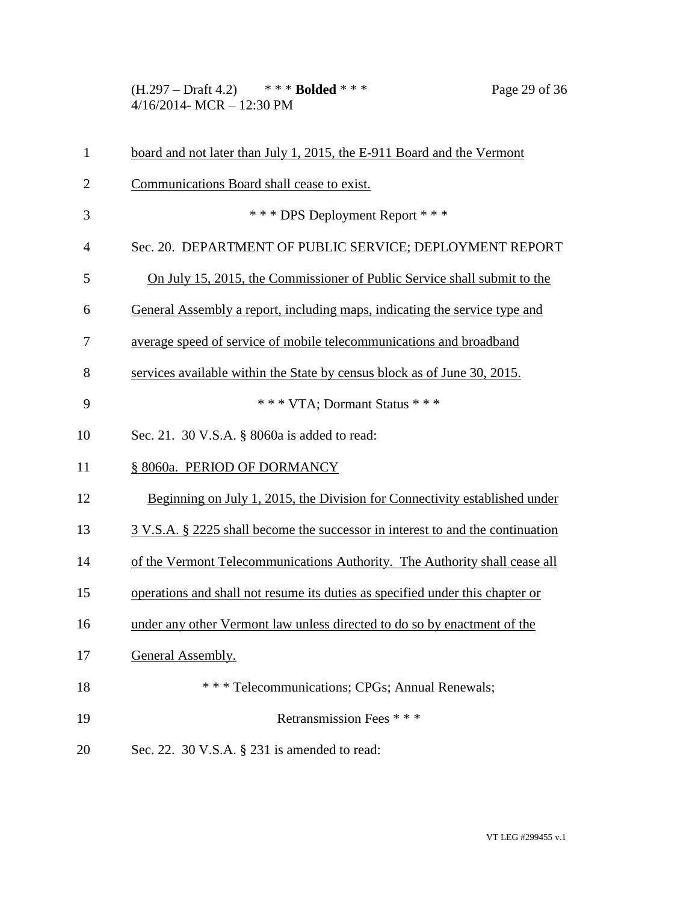(H.297 – Draft 4.2) \* \* \* **Bolded** \* \* \* Page 29 of 36 4/16/2014- MCR – 12:30 PM

| $\mathbf{1}$   | board and not later than July 1, 2015, the E-911 Board and the Vermont         |
|----------------|--------------------------------------------------------------------------------|
| $\overline{2}$ | Communications Board shall cease to exist.                                     |
| 3              | *** DPS Deployment Report ***                                                  |
| $\overline{4}$ | Sec. 20. DEPARTMENT OF PUBLIC SERVICE; DEPLOYMENT REPORT                       |
| 5              | On July 15, 2015, the Commissioner of Public Service shall submit to the       |
| 6              | General Assembly a report, including maps, indicating the service type and     |
| 7              | average speed of service of mobile telecommunications and broadband            |
| 8              | services available within the State by census block as of June 30, 2015.       |
| 9              | *** VTA; Dormant Status ***                                                    |
| 10             | Sec. 21. 30 V.S.A. § 8060a is added to read:                                   |
| 11             | § 8060a. PERIOD OF DORMANCY                                                    |
| 12             | Beginning on July 1, 2015, the Division for Connectivity established under     |
| 13             | 3 V.S.A. § 2225 shall become the successor in interest to and the continuation |
| 14             | of the Vermont Telecommunications Authority. The Authority shall cease all     |
| 15             | operations and shall not resume its duties as specified under this chapter or  |
| 16             | under any other Vermont law unless directed to do so by enactment of the       |
| 17             | General Assembly.                                                              |
| 18             | *** Telecommunications; CPGs; Annual Renewals;                                 |
| 19             | Retransmission Fees * * *                                                      |
| 20             | Sec. 22. 30 V.S.A. § 231 is amended to read:                                   |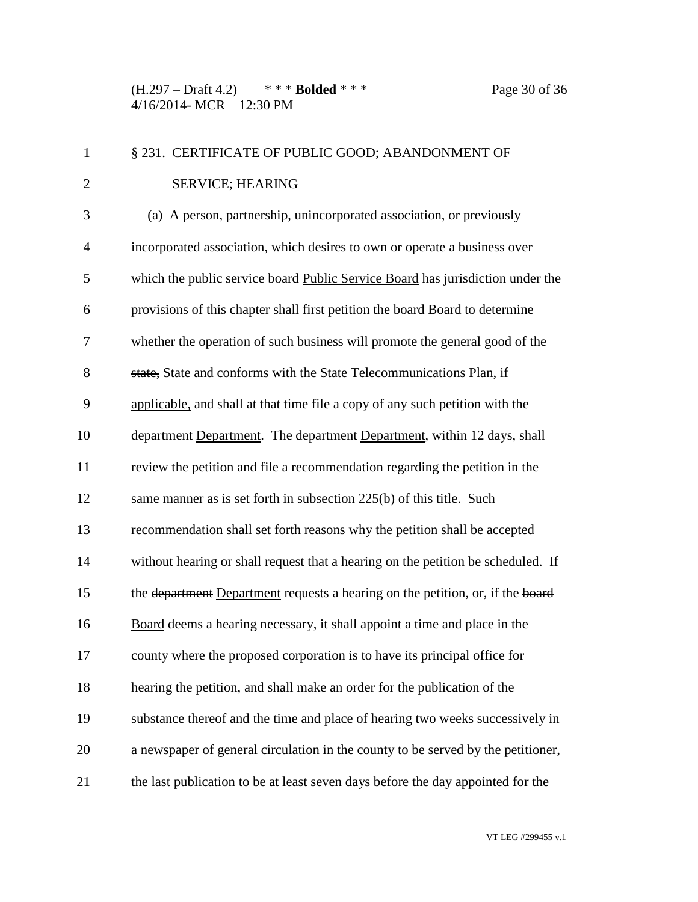(H.297 – Draft 4.2) \* \* \* **Bolded** \* \* \* Page 30 of 36 4/16/2014- MCR – 12:30 PM

| $\mathbf{1}$   | § 231. CERTIFICATE OF PUBLIC GOOD; ABANDONMENT OF                                |
|----------------|----------------------------------------------------------------------------------|
| $\overline{2}$ | <b>SERVICE; HEARING</b>                                                          |
| 3              | (a) A person, partnership, unincorporated association, or previously             |
| $\overline{4}$ | incorporated association, which desires to own or operate a business over        |
| 5              | which the public service board Public Service Board has jurisdiction under the   |
| 6              | provisions of this chapter shall first petition the board Board to determine     |
| $\tau$         | whether the operation of such business will promote the general good of the      |
| 8              | state, State and conforms with the State Telecommunications Plan, if             |
| 9              | applicable, and shall at that time file a copy of any such petition with the     |
| 10             | department Department. The department Department, within 12 days, shall          |
| 11             | review the petition and file a recommendation regarding the petition in the      |
| 12             | same manner as is set forth in subsection 225(b) of this title. Such             |
| 13             | recommendation shall set forth reasons why the petition shall be accepted        |
| 14             | without hearing or shall request that a hearing on the petition be scheduled. If |
| 15             | the department Department requests a hearing on the petition, or, if the board   |
| 16             | Board deems a hearing necessary, it shall appoint a time and place in the        |
| 17             | county where the proposed corporation is to have its principal office for        |
| 18             | hearing the petition, and shall make an order for the publication of the         |
| 19             | substance thereof and the time and place of hearing two weeks successively in    |
| 20             | a newspaper of general circulation in the county to be served by the petitioner, |
| 21             | the last publication to be at least seven days before the day appointed for the  |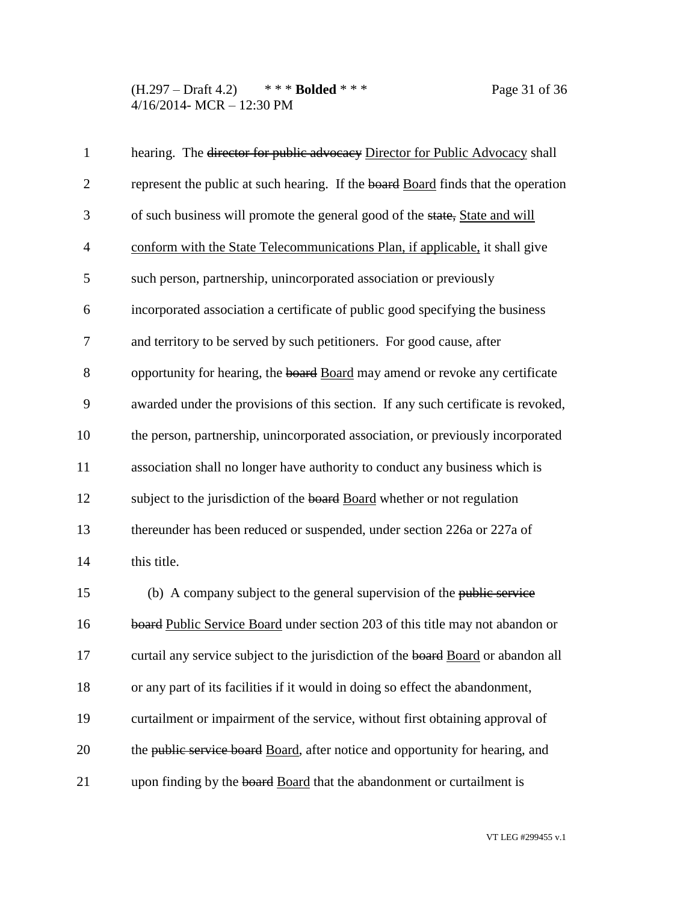(H.297 – Draft 4.2) \* \* \* **Bolded** \* \* \* Page 31 of 36 4/16/2014- MCR – 12:30 PM

| $\mathbf{1}$   | hearing. The director for public advocacy Director for Public Advocacy shall      |
|----------------|-----------------------------------------------------------------------------------|
| $\overline{2}$ | represent the public at such hearing. If the board Board finds that the operation |
| 3              | of such business will promote the general good of the state, State and will       |
| $\overline{4}$ | conform with the State Telecommunications Plan, if applicable, it shall give      |
| 5              | such person, partnership, unincorporated association or previously                |
| 6              | incorporated association a certificate of public good specifying the business     |
| 7              | and territory to be served by such petitioners. For good cause, after             |
| 8              | opportunity for hearing, the board Board may amend or revoke any certificate      |
| 9              | awarded under the provisions of this section. If any such certificate is revoked, |
| 10             | the person, partnership, unincorporated association, or previously incorporated   |
| 11             | association shall no longer have authority to conduct any business which is       |
| 12             | subject to the jurisdiction of the board Board whether or not regulation          |
| 13             | thereunder has been reduced or suspended, under section 226a or 227a of           |
| 14             | this title.                                                                       |
| 15             | (b) A company subject to the general supervision of the public service            |
| 16             | board Public Service Board under section 203 of this title may not abandon or     |
| 17             | curtail any service subject to the jurisdiction of the board Board or abandon all |
| 18             | or any part of its facilities if it would in doing so effect the abandonment,     |
| 19             | curtailment or impairment of the service, without first obtaining approval of     |
| 20             | the public service board Board, after notice and opportunity for hearing, and     |
| 21             | upon finding by the board Board that the abandonment or curtailment is            |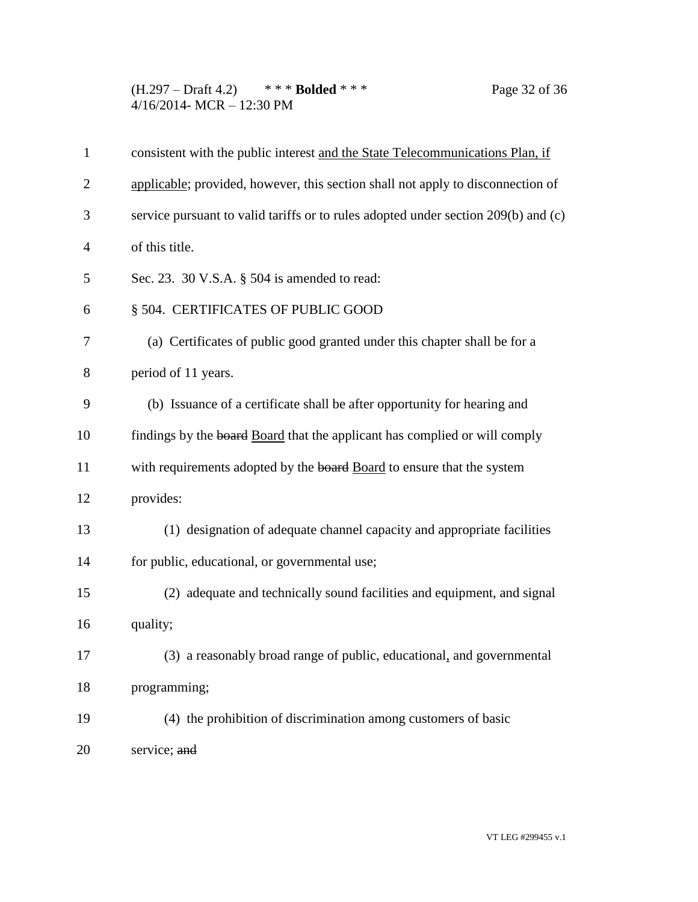(H.297 – Draft 4.2) \* \* \* **Bolded** \* \* \* Page 32 of 36 4/16/2014- MCR – 12:30 PM

| $\mathbf{1}$   | consistent with the public interest and the State Telecommunications Plan, if      |
|----------------|------------------------------------------------------------------------------------|
| $\overline{2}$ | applicable; provided, however, this section shall not apply to disconnection of    |
| 3              | service pursuant to valid tariffs or to rules adopted under section 209(b) and (c) |
| $\overline{4}$ | of this title.                                                                     |
| 5              | Sec. 23. 30 V.S.A. $\S$ 504 is amended to read:                                    |
| 6              | § 504. CERTIFICATES OF PUBLIC GOOD                                                 |
| 7              | (a) Certificates of public good granted under this chapter shall be for a          |
| 8              | period of 11 years.                                                                |
| 9              | (b) Issuance of a certificate shall be after opportunity for hearing and           |
| 10             | findings by the board Board that the applicant has complied or will comply         |
| 11             | with requirements adopted by the board Board to ensure that the system             |
| 12             | provides:                                                                          |
| 13             | (1) designation of adequate channel capacity and appropriate facilities            |
| 14             | for public, educational, or governmental use;                                      |
| 15             | (2) adequate and technically sound facilities and equipment, and signal            |
| 16             | quality;                                                                           |
| 17             | (3) a reasonably broad range of public, educational, and governmental              |
| 18             | programming;                                                                       |
| 19             | (4) the prohibition of discrimination among customers of basic                     |
| 20             | service; and                                                                       |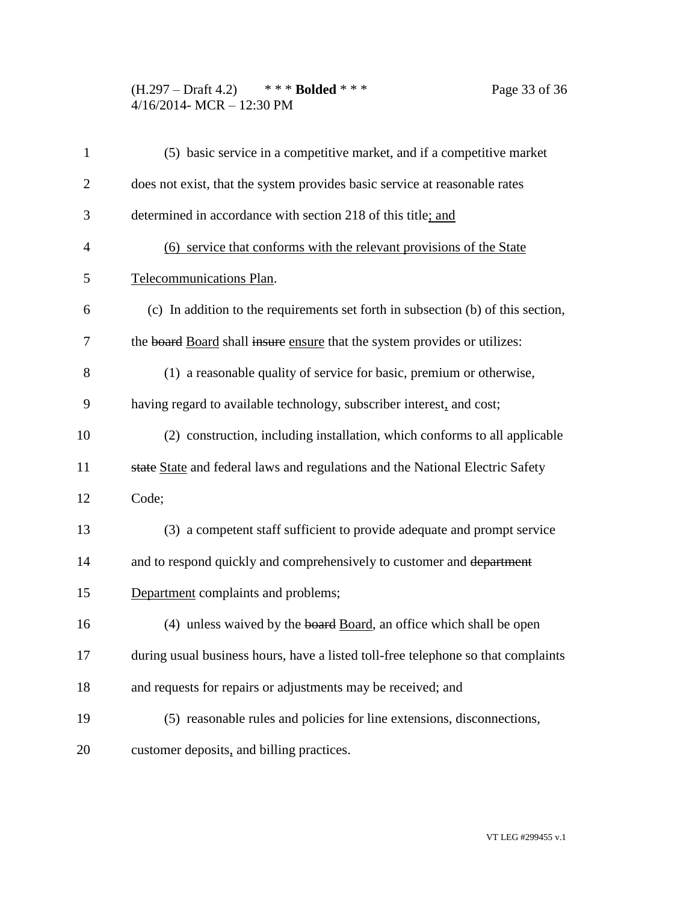(H.297 – Draft 4.2) \* \* \* **Bolded** \* \* \* Page 33 of 36 4/16/2014- MCR – 12:30 PM

| $\mathbf{1}$   | (5) basic service in a competitive market, and if a competitive market            |
|----------------|-----------------------------------------------------------------------------------|
| $\overline{2}$ | does not exist, that the system provides basic service at reasonable rates        |
| 3              | determined in accordance with section 218 of this title; and                      |
| $\overline{4}$ | (6) service that conforms with the relevant provisions of the State               |
| 5              | Telecommunications Plan.                                                          |
| 6              | (c) In addition to the requirements set forth in subsection (b) of this section,  |
| 7              | the board Board shall insure ensure that the system provides or utilizes:         |
| 8              | (1) a reasonable quality of service for basic, premium or otherwise,              |
| 9              | having regard to available technology, subscriber interest, and cost;             |
| 10             | (2) construction, including installation, which conforms to all applicable        |
| 11             | state State and federal laws and regulations and the National Electric Safety     |
| 12             | Code;                                                                             |
| 13             | (3) a competent staff sufficient to provide adequate and prompt service           |
| 14             | and to respond quickly and comprehensively to customer and department             |
| 15             | Department complaints and problems;                                               |
| 16             | (4) unless waived by the board Board, an office which shall be open               |
| 17             | during usual business hours, have a listed toll-free telephone so that complaints |
| 18             | and requests for repairs or adjustments may be received; and                      |
| 19             | (5) reasonable rules and policies for line extensions, disconnections,            |
| 20             | customer deposits, and billing practices.                                         |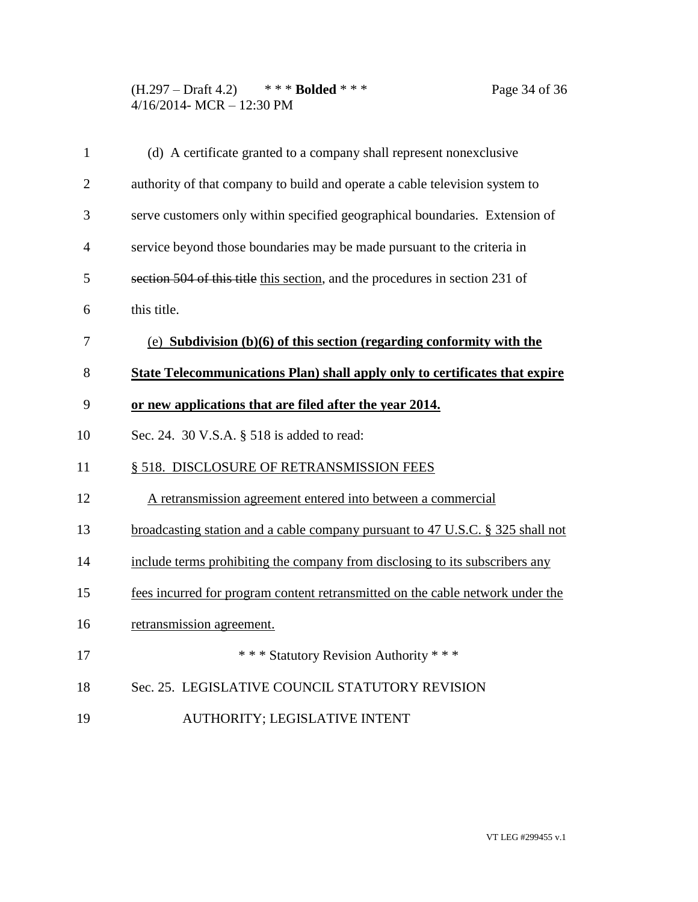(H.297 – Draft 4.2) \* \* \* **Bolded** \* \* \* Page 34 of 36 4/16/2014- MCR – 12:30 PM

| $\mathbf{1}$   | (d) A certificate granted to a company shall represent nonexclusive            |
|----------------|--------------------------------------------------------------------------------|
| $\overline{2}$ | authority of that company to build and operate a cable television system to    |
| 3              | serve customers only within specified geographical boundaries. Extension of    |
| $\overline{4}$ | service beyond those boundaries may be made pursuant to the criteria in        |
| 5              | section 504 of this title this section, and the procedures in section 231 of   |
| 6              | this title.                                                                    |
| 7              | (e) Subdivision $(b)(6)$ of this section (regarding conformity with the        |
| 8              | State Telecommunications Plan) shall apply only to certificates that expire    |
| 9              | or new applications that are filed after the year 2014.                        |
| 10             | Sec. 24. 30 V.S.A. § 518 is added to read:                                     |
| 11             | § 518. DISCLOSURE OF RETRANSMISSION FEES                                       |
| 12             | A retransmission agreement entered into between a commercial                   |
| 13             | broadcasting station and a cable company pursuant to 47 U.S.C. § 325 shall not |
| 14             | include terms prohibiting the company from disclosing to its subscribers any   |
| 15             | fees incurred for program content retransmitted on the cable network under the |
| 16             | retransmission agreement.                                                      |
| 17             | *** Statutory Revision Authority ***                                           |
| 18             | Sec. 25. LEGISLATIVE COUNCIL STATUTORY REVISION                                |
| 19             | AUTHORITY; LEGISLATIVE INTENT                                                  |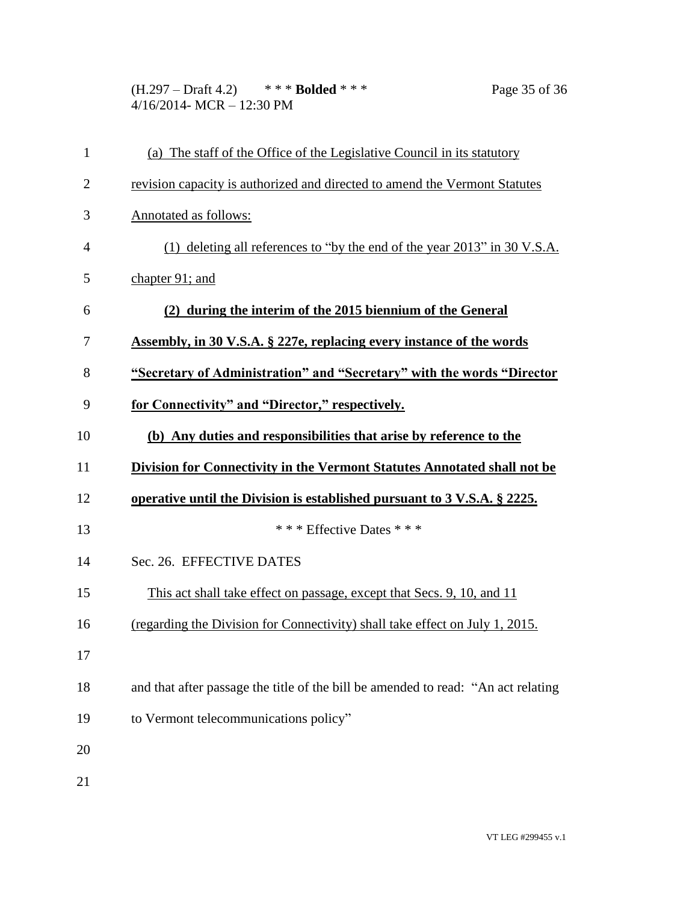(H.297 – Draft 4.2) \* \* \* **Bolded** \* \* \* Page 35 of 36 4/16/2014- MCR – 12:30 PM

| $\mathbf{1}$   | (a) The staff of the Office of the Legislative Council in its statutory           |
|----------------|-----------------------------------------------------------------------------------|
| $\overline{c}$ | revision capacity is authorized and directed to amend the Vermont Statutes        |
| 3              | Annotated as follows:                                                             |
| 4              | (1) deleting all references to "by the end of the year 2013" in 30 V.S.A.         |
| 5              | chapter 91; and                                                                   |
| 6              | (2) during the interim of the 2015 biennium of the General                        |
| 7              | <b>Assembly, in 30 V.S.A. § 227e, replacing every instance of the words</b>       |
| 8              | "Secretary of Administration" and "Secretary" with the words "Director            |
| 9              | for Connectivity" and "Director," respectively.                                   |
| 10             | (b) Any duties and responsibilities that arise by reference to the                |
| 11             | <b>Division for Connectivity in the Vermont Statutes Annotated shall not be</b>   |
| 12             | operative until the Division is established pursuant to 3 V.S.A. § 2225.          |
| 13             | *** Effective Dates ***                                                           |
| 14             | Sec. 26. EFFECTIVE DATES                                                          |
| 15             | This act shall take effect on passage, except that Secs. 9, 10, and 11            |
| 16             | (regarding the Division for Connectivity) shall take effect on July 1, 2015.      |
| 17             |                                                                                   |
| 18             | and that after passage the title of the bill be amended to read: "An act relating |
| 19             | to Vermont telecommunications policy"                                             |
| 20             |                                                                                   |
| 21             |                                                                                   |